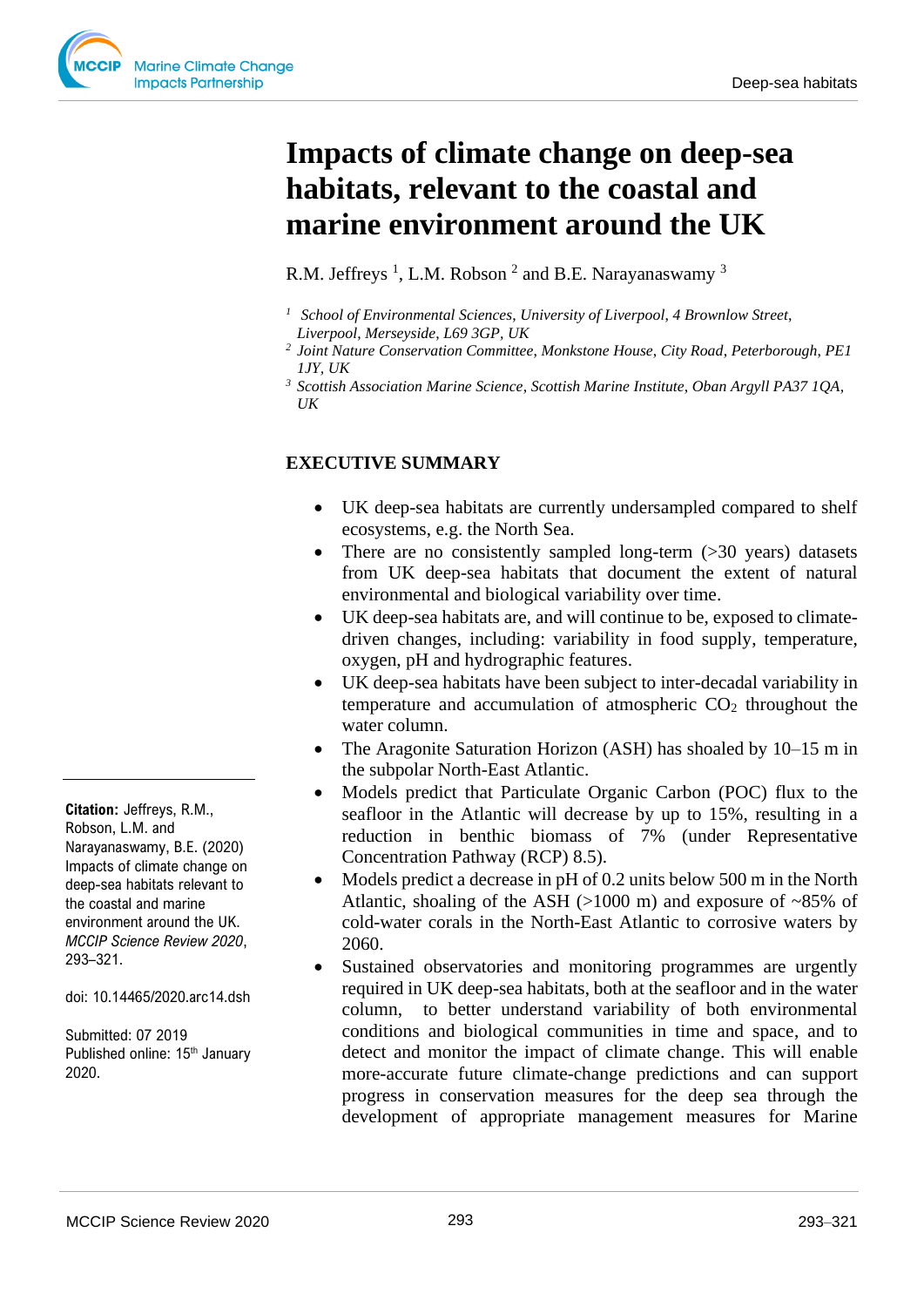# **Impacts of climate change on deep-sea habitats, relevant to the coastal and marine environment around the UK**

R.M. Jeffreys<sup>1</sup>, L.M. Robson<sup>2</sup> and B.E. Narayanaswamy<sup>3</sup>

- *<sup>1</sup> School of Environmental Sciences*, *University of Liverpool*, *4 Brownlow Street*,
- *Liverpool*, *Merseyside*, *L69 3GP, UK*
- *2 Joint Nature Conservation Committee*, *Monkstone House*, *City Road*, *Peterborough*, *PE1 1JY, UK*
- *<sup>3</sup> Scottish Association Marine Science*, *Scottish Marine Institute*, *Oban Argyll PA37 1QA, UK*

## **EXECUTIVE SUMMARY**

- UK deep-sea habitats are currently undersampled compared to shelf ecosystems, e.g. the North Sea.
- There are no consistently sampled long-term (>30 years) datasets from UK deep-sea habitats that document the extent of natural environmental and biological variability over time.
- UK deep-sea habitats are, and will continue to be, exposed to climatedriven changes, including: variability in food supply, temperature, oxygen, pH and hydrographic features.
- UK deep-sea habitats have been subject to inter-decadal variability in temperature and accumulation of atmospheric  $CO<sub>2</sub>$  throughout the water column.
- The Aragonite Saturation Horizon (ASH) has shoaled by 10–15 m in the subpolar North-East Atlantic.
- Models predict that Particulate Organic Carbon (POC) flux to the seafloor in the Atlantic will decrease by up to 15%, resulting in a reduction in benthic biomass of 7% (under Representative Concentration Pathway (RCP) 8.5).
- Models predict a decrease in pH of 0.2 units below 500 m in the North Atlantic, shoaling of the ASH ( $>1000$  m) and exposure of  $\sim85\%$  of cold-water corals in the North-East Atlantic to corrosive waters by 2060.
- Sustained observatories and monitoring programmes are urgently required in UK deep-sea habitats, both at the seafloor and in the water column, to better understand variability of both environmental conditions and biological communities in time and space, and to detect and monitor the impact of climate change. This will enable more-accurate future climate-change predictions and can support progress in conservation measures for the deep sea through the development of appropriate management measures for Marine

**Citation:** Jeffreys, R.M., Robson, L.M. and Narayanaswamy, B.E. (2020) Impacts of climate change on deep-sea habitats relevant to the coastal and marine environment around the UK. *MCCIP Science Review 2020*, 293–321.

doi: 10.14465/2020.arc14.dsh

Submitted: 07 2019 Published online: 15<sup>th</sup> January 2020.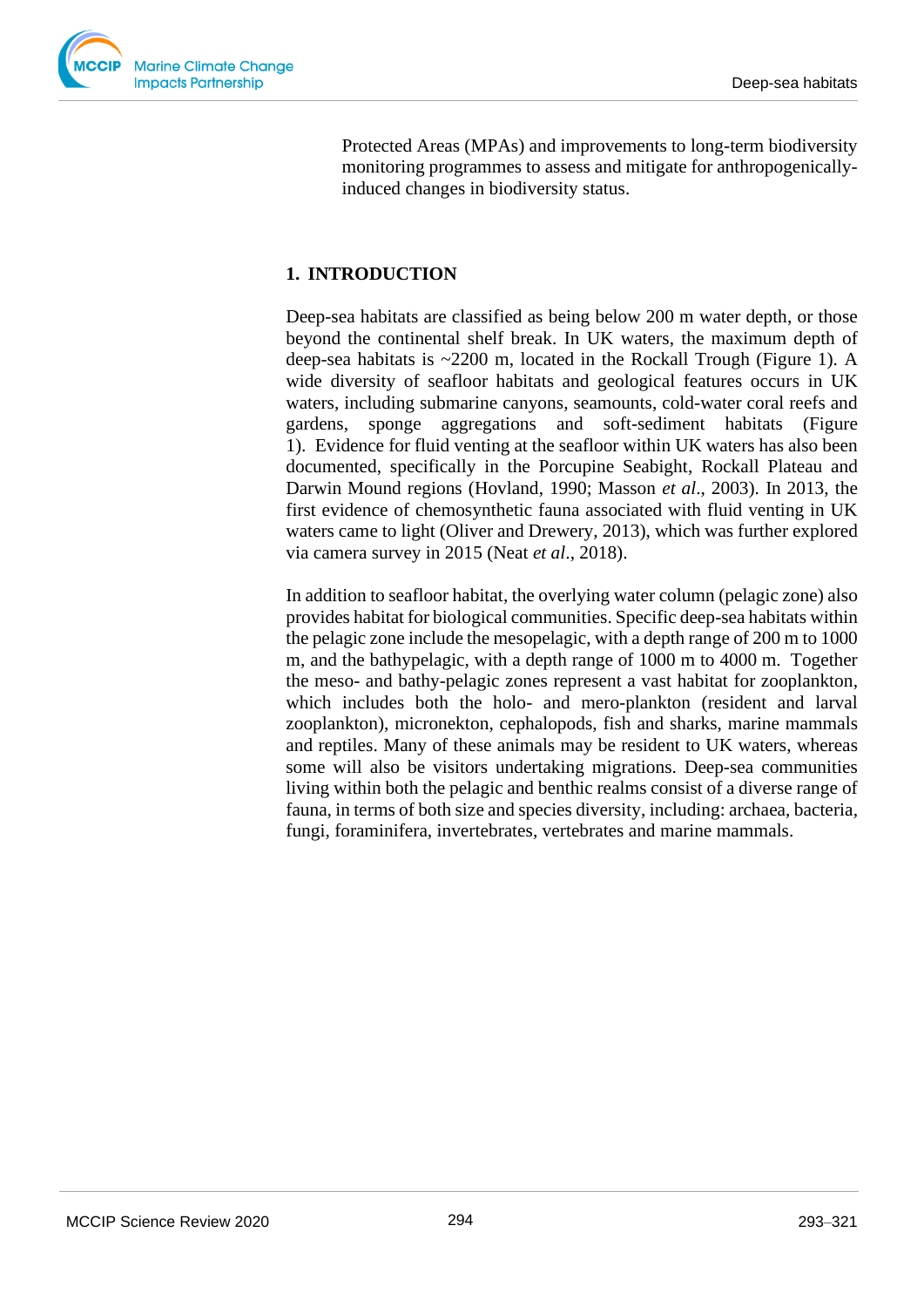

Protected Areas (MPAs) and improvements to long-term biodiversity monitoring programmes to assess and mitigate for anthropogenicallyinduced changes in biodiversity status.

# **1. INTRODUCTION**

Deep-sea habitats are classified as being below 200 m water depth, or those beyond the continental shelf break. In UK waters, the maximum depth of deep-sea habitats is ~2200 m, located in the Rockall Trough (Figure 1). A wide diversity of seafloor habitats and geological features occurs in UK waters, including submarine canyons, seamounts, cold-water coral reefs and gardens, sponge aggregations and soft-sediment habitats (Figure 1). Evidence for fluid venting at the seafloor within UK waters has also been documented, specifically in the Porcupine Seabight, Rockall Plateau and Darwin Mound regions (Hovland, 1990; Masson *et al*., 2003). In 2013, the first evidence of chemosynthetic fauna associated with fluid venting in UK waters came to light (Oliver and Drewery, 2013), which was further explored via camera survey in 2015 (Neat *et al*., 2018).

In addition to seafloor habitat, the overlying water column (pelagic zone) also provides habitat for biological communities. Specific deep-sea habitats within the pelagic zone include the mesopelagic, with a depth range of 200 m to 1000 m, and the bathypelagic, with a depth range of 1000 m to 4000 m. Together the meso- and bathy-pelagic zones represent a vast habitat for zooplankton, which includes both the holo- and mero-plankton (resident and larval zooplankton), micronekton, cephalopods, fish and sharks, marine mammals and reptiles. Many of these animals may be resident to UK waters, whereas some will also be visitors undertaking migrations. Deep-sea communities living within both the pelagic and benthic realms consist of a diverse range of fauna, in terms of both size and species diversity, including: archaea, bacteria, fungi, foraminifera, invertebrates, vertebrates and marine mammals.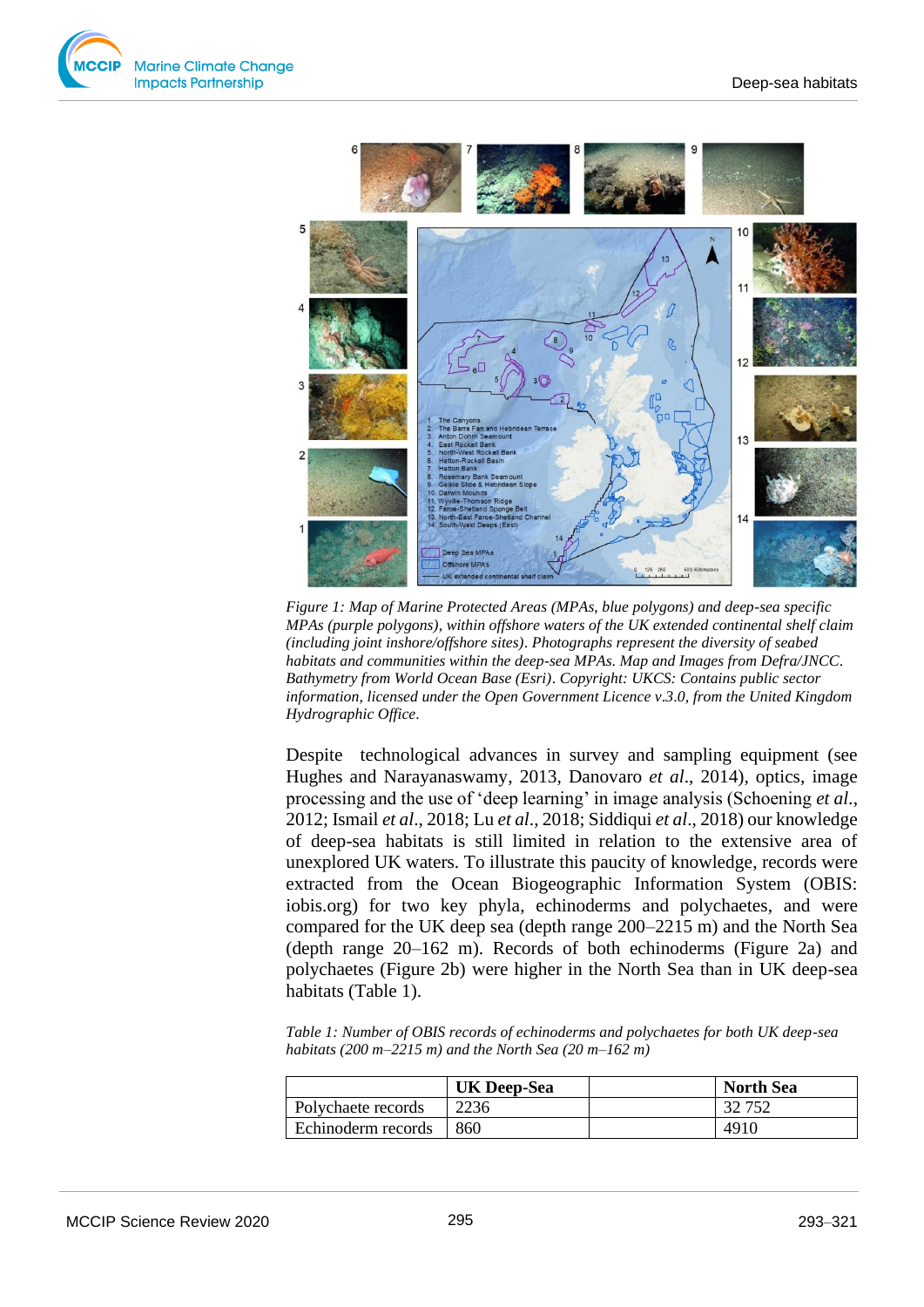



*Figure 1: Map of Marine Protected Areas (MPAs*, *blue polygons) and deep-sea specific MPAs (purple polygons)*, *within offshore waters of the UK extended continental shelf claim (including joint inshore/offshore sites)*. *Photographs represent the diversity of seabed habitats and communities within the deep-sea MPAs*. *Map and Images from Defra/JNCC*. *Bathymetry from World Ocean Base (Esri)*. *Copyright: UKCS: Contains public sector information*, *licensed under the Open Government Licence v*.*3*.*0*, *from the United Kingdom Hydrographic Office*.

Despite technological advances in survey and sampling equipment (see Hughes and Narayanaswamy, 2013, Danovaro *et al*., 2014), optics, image processing and the use of 'deep learning' in image analysis (Schoening *et al*., 2012; Ismail *et al*., 2018; Lu *et al*., 2018; Siddiqui *et al*., 2018) our knowledge of deep-sea habitats is still limited in relation to the extensive area of unexplored UK waters. To illustrate this paucity of knowledge, records were extracted from the Ocean Biogeographic Information System (OBIS: iobis.org) for two key phyla, echinoderms and polychaetes, and were compared for the UK deep sea (depth range 200–2215 m) and the North Sea (depth range 20–162 m). Records of both echinoderms (Figure 2a) and polychaetes (Figure 2b) were higher in the North Sea than in UK deep-sea habitats (Table 1).

*Table 1: Number of OBIS records of echinoderms and polychaetes for both UK deep-sea habitats (200 m–2215 m) and the North Sea (20 m–162 m)*

|                           | <b>UK Deep-Sea</b> | <b>North Sea</b> |
|---------------------------|--------------------|------------------|
| <b>Polychaete records</b> | 2236               | 32 752           |
| Echinoderm records        | 860                | 4910             |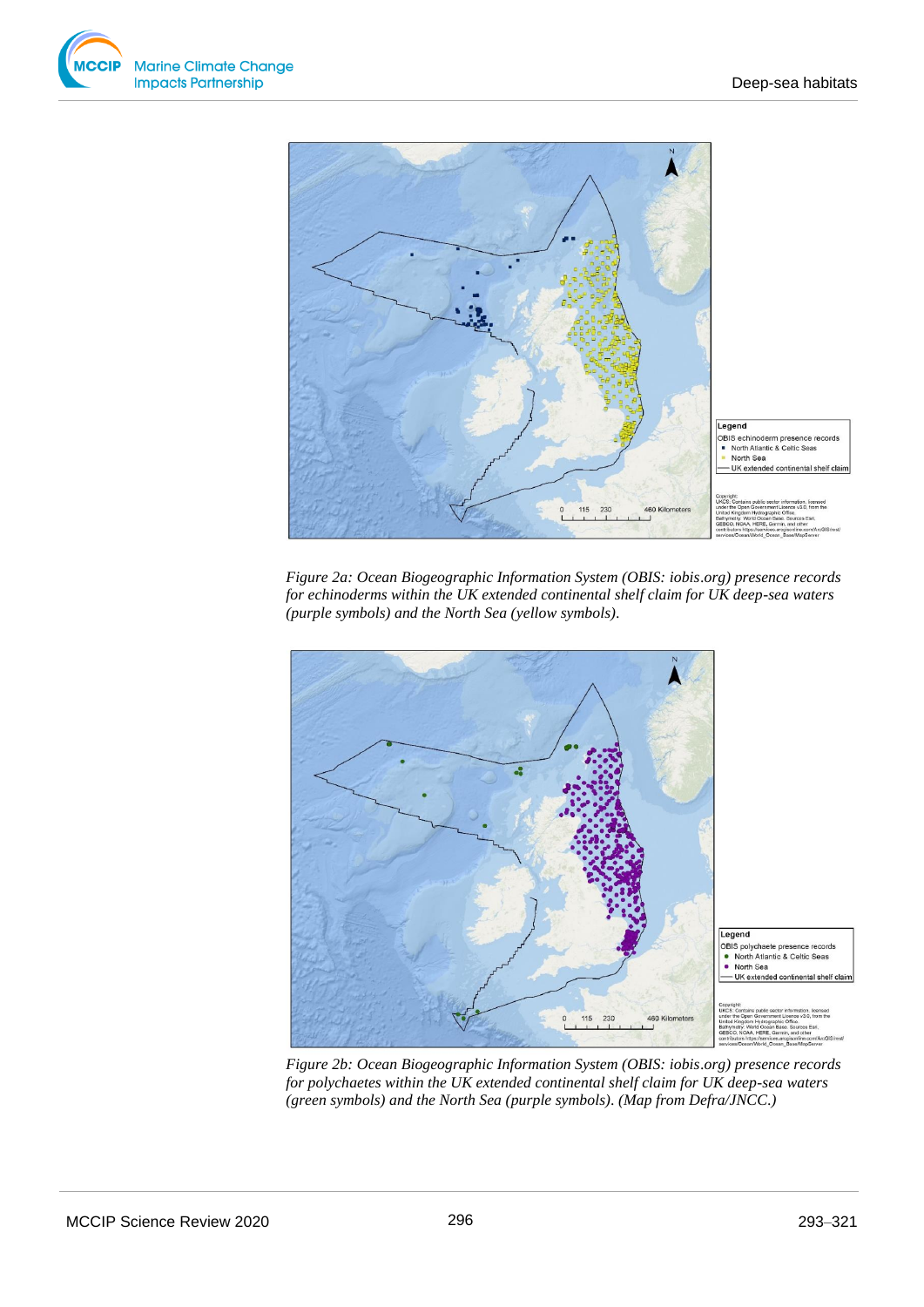



*Figure 2a: Ocean Biogeographic Information System (OBIS: iobis*.*org) presence records for echinoderms within the UK extended continental shelf claim for UK deep-sea waters (purple symbols) and the North Sea (yellow symbols)*.



*Figure 2b: Ocean Biogeographic Information System (OBIS: iobis*.*org) presence records for polychaetes within the UK extended continental shelf claim for UK deep-sea waters (green symbols) and the North Sea (purple symbols)*. *(Map from Defra/JNCC*.*)*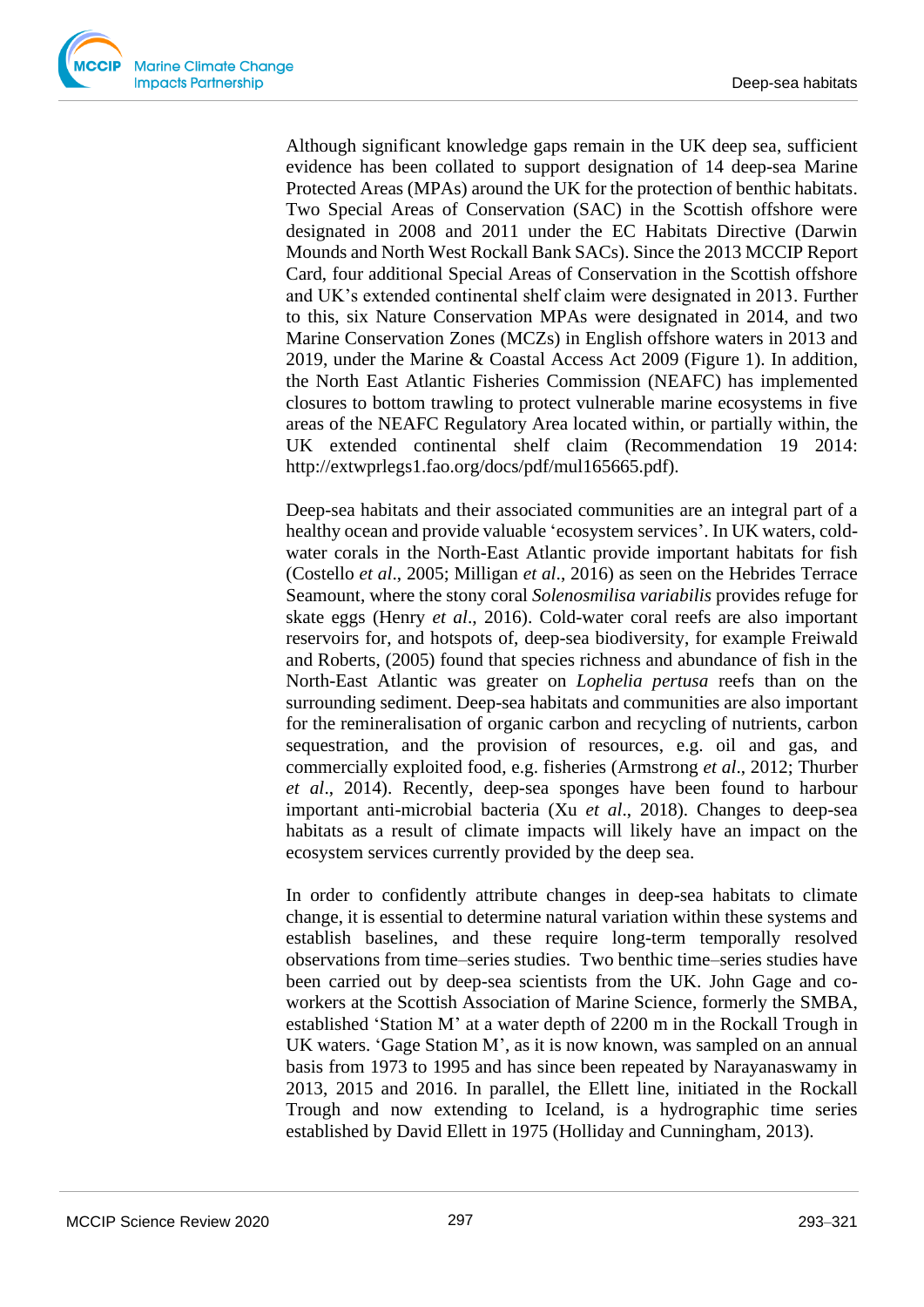Although significant knowledge gaps remain in the UK deep sea, sufficient evidence has been collated to support designation of 14 deep-sea Marine Protected Areas (MPAs) around the UK for the protection of benthic habitats. Two Special Areas of Conservation (SAC) in the Scottish offshore were designated in 2008 and 2011 under the EC Habitats Directive (Darwin Mounds and North West Rockall Bank SACs). Since the 2013 MCCIP Report Card, four additional Special Areas of Conservation in the Scottish offshore and UK's extended continental shelf claim were designated in 2013. Further to this, six Nature Conservation MPAs were designated in 2014, and two Marine Conservation Zones (MCZs) in English offshore waters in 2013 and 2019, under the Marine & Coastal Access Act 2009 (Figure 1). In addition, the North East Atlantic Fisheries Commission (NEAFC) has implemented closures to bottom trawling to protect vulnerable marine ecosystems in five areas of the NEAFC Regulatory Area located within, or partially within, the UK extended continental shelf claim (Recommendation 19 2014: http://extwprlegs1.fao.org/docs/pdf/mul165665.pdf).

Deep-sea habitats and their associated communities are an integral part of a healthy ocean and provide valuable 'ecosystem services'. In UK waters, coldwater corals in the North-East Atlantic provide important habitats for fish (Costello *et al*., 2005; Milligan *et al*., 2016) as seen on the Hebrides Terrace Seamount, where the stony coral *Solenosmilisa variabilis* provides refuge for skate eggs (Henry *et al*., 2016). Cold-water coral reefs are also important reservoirs for, and hotspots of, deep-sea biodiversity, for example Freiwald and Roberts, (2005) found that species richness and abundance of fish in the North-East Atlantic was greater on *Lophelia pertusa* reefs than on the surrounding sediment. Deep-sea habitats and communities are also important for the remineralisation of organic carbon and recycling of nutrients, carbon sequestration, and the provision of resources, e.g. oil and gas, and commercially exploited food, e.g. fisheries (Armstrong *et al*., 2012; Thurber *et al*., 2014). Recently, deep-sea sponges have been found to harbour important anti-microbial bacteria (Xu *et al*., 2018). Changes to deep-sea habitats as a result of climate impacts will likely have an impact on the ecosystem services currently provided by the deep sea.

In order to confidently attribute changes in deep-sea habitats to climate change, it is essential to determine natural variation within these systems and establish baselines, and these require long-term temporally resolved observations from time–series studies. Two benthic time–series studies have been carried out by deep-sea scientists from the UK. John Gage and coworkers at the Scottish Association of Marine Science, formerly the SMBA, established 'Station M' at a water depth of 2200 m in the Rockall Trough in UK waters. 'Gage Station M', as it is now known, was sampled on an annual basis from 1973 to 1995 and has since been repeated by Narayanaswamy in 2013, 2015 and 2016. In parallel, the Ellett line, initiated in the Rockall Trough and now extending to Iceland, is a hydrographic time series established by David Ellett in 1975 (Holliday and Cunningham, 2013).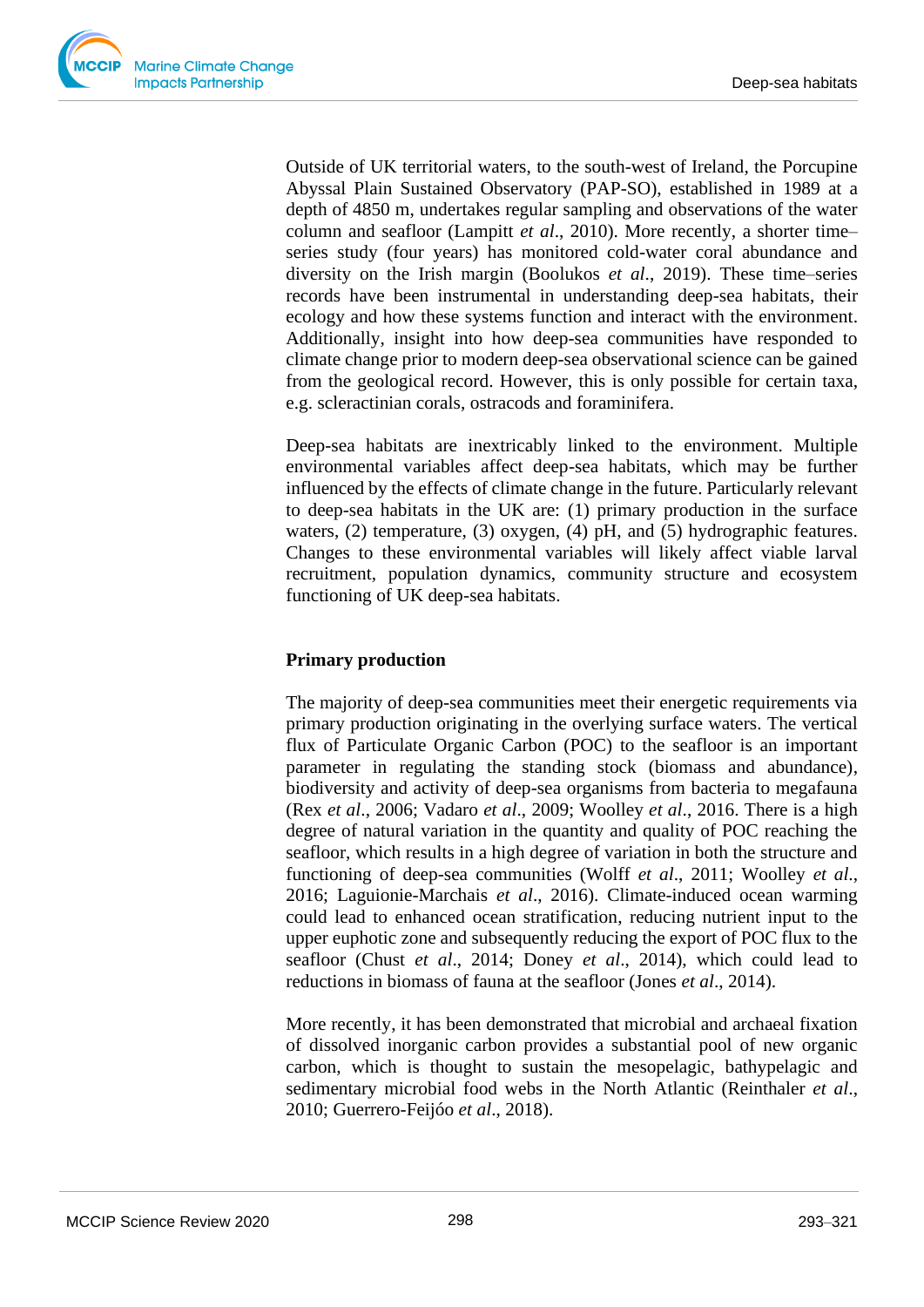

Outside of UK territorial waters, to the south-west of Ireland, the Porcupine Abyssal Plain Sustained Observatory (PAP-SO), established in 1989 at a depth of 4850 m, undertakes regular sampling and observations of the water column and seafloor (Lampitt *et al*., 2010). More recently, a shorter time– series study (four years) has monitored cold-water coral abundance and diversity on the Irish margin (Boolukos *et al*., 2019). These time–series records have been instrumental in understanding deep-sea habitats, their ecology and how these systems function and interact with the environment. Additionally, insight into how deep-sea communities have responded to climate change prior to modern deep-sea observational science can be gained from the geological record. However, this is only possible for certain taxa, e.g. scleractinian corals, ostracods and foraminifera.

Deep-sea habitats are inextricably linked to the environment. Multiple environmental variables affect deep-sea habitats, which may be further influenced by the effects of climate change in the future. Particularly relevant to deep-sea habitats in the UK are: (1) primary production in the surface waters, (2) temperature, (3) oxygen, (4) pH, and (5) hydrographic features. Changes to these environmental variables will likely affect viable larval recruitment, population dynamics, community structure and ecosystem functioning of UK deep-sea habitats.

## **Primary production**

The majority of deep-sea communities meet their energetic requirements via primary production originating in the overlying surface waters. The vertical flux of Particulate Organic Carbon (POC) to the seafloor is an important parameter in regulating the standing stock (biomass and abundance), biodiversity and activity of deep-sea organisms from bacteria to megafauna (Rex *et al*., 2006; Vadaro *et al*., 2009; Woolley *et al*., 2016. There is a high degree of natural variation in the quantity and quality of POC reaching the seafloor, which results in a high degree of variation in both the structure and functioning of deep-sea communities (Wolff *et al*., 2011; Woolley *et al*., 2016; Laguionie-Marchais *et al*., 2016). Climate-induced ocean warming could lead to enhanced ocean stratification, reducing nutrient input to the upper euphotic zone and subsequently reducing the export of POC flux to the seafloor (Chust *et al*., 2014; Doney *et al*., 2014), which could lead to reductions in biomass of fauna at the seafloor (Jones *et al*., 2014).

More recently, it has been demonstrated that microbial and archaeal fixation of dissolved inorganic carbon provides a substantial pool of new organic carbon, which is thought to sustain the mesopelagic, bathypelagic and sedimentary microbial food webs in the North Atlantic (Reinthaler *et al*., 2010; Guerrero-Feijóo *et al*., 2018).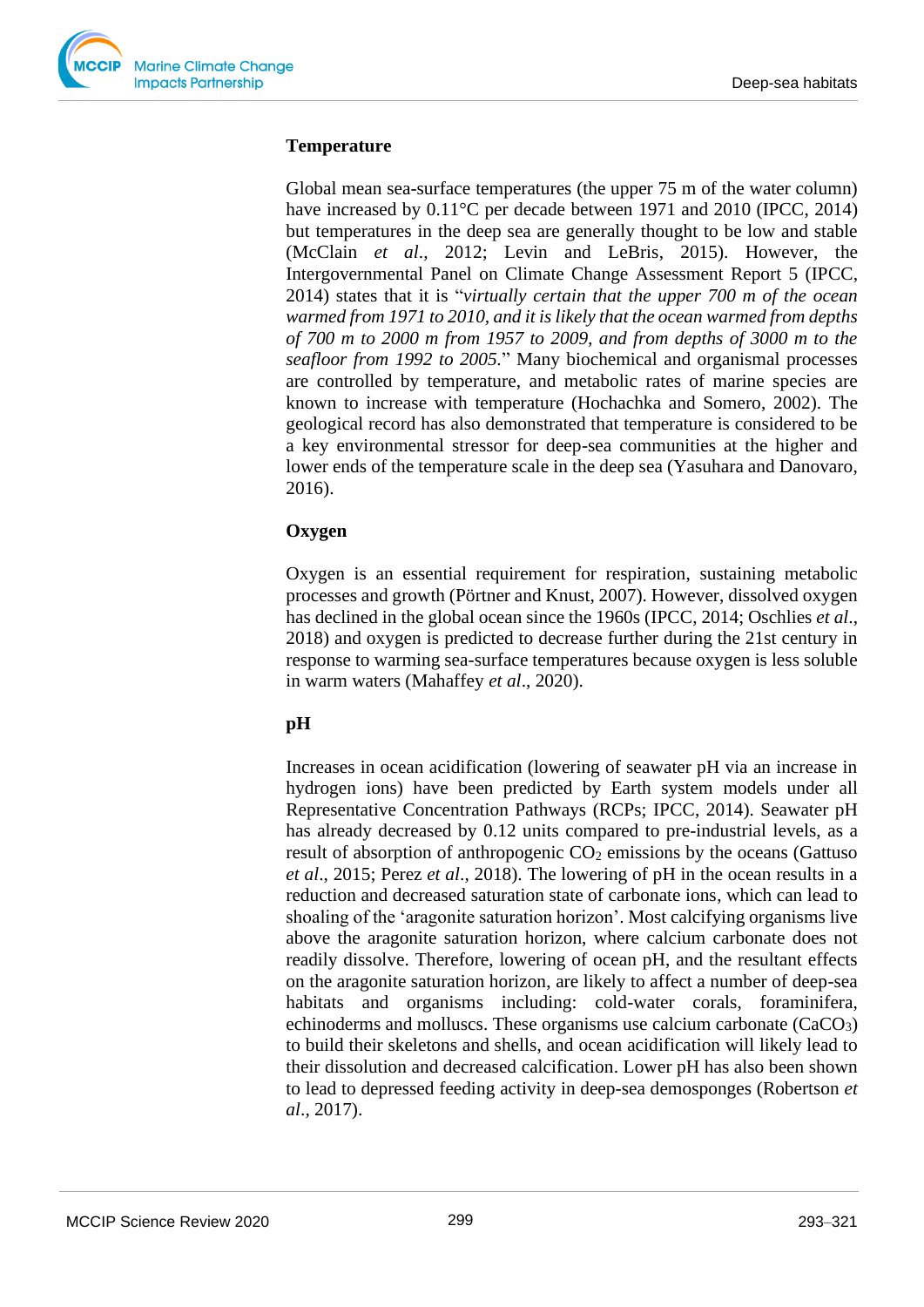#### **Temperature**

Global mean sea-surface temperatures (the upper 75 m of the water column) have increased by  $0.11^{\circ}$ C per decade between 1971 and 2010 (IPCC, 2014) but temperatures in the deep sea are generally thought to be low and stable (McClain *et al*., 2012; Levin and LeBris, 2015). However, the Intergovernmental Panel on Climate Change Assessment Report 5 (IPCC, 2014) states that it is "*virtually certain that the upper 700 m of the ocean warmed from 1971 to 2010, and it is likely that the ocean warmed from depths of 700 m to 2000 m from 1957 to 2009, and from depths of 3000 m to the seafloor from 1992 to 2005.*" Many biochemical and organismal processes are controlled by temperature, and metabolic rates of marine species are known to increase with temperature (Hochachka and Somero, 2002). The geological record has also demonstrated that temperature is considered to be a key environmental stressor for deep-sea communities at the higher and lower ends of the temperature scale in the deep sea (Yasuhara and Danovaro, 2016).

## **Oxygen**

Oxygen is an essential requirement for respiration, sustaining metabolic processes and growth (Pörtner and Knust, 2007). However, dissolved oxygen has declined in the global ocean since the 1960s (IPCC, 2014; Oschlies *et al*., 2018) and oxygen is predicted to decrease further during the 21st century in response to warming sea-surface temperatures because oxygen is less soluble in warm waters (Mahaffey *et al*., 2020).

## **pH**

Increases in ocean acidification (lowering of seawater pH via an increase in hydrogen ions) have been predicted by Earth system models under all Representative Concentration Pathways (RCPs; IPCC, 2014). Seawater pH has already decreased by 0.12 units compared to pre-industrial levels, as a result of absorption of anthropogenic  $CO<sub>2</sub>$  emissions by the oceans (Gattuso) *et al*., 2015; Perez *et al*., 2018). The lowering of pH in the ocean results in a reduction and decreased saturation state of carbonate ions, which can lead to shoaling of the 'aragonite saturation horizon'. Most calcifying organisms live above the aragonite saturation horizon, where calcium carbonate does not readily dissolve. Therefore, lowering of ocean pH, and the resultant effects on the aragonite saturation horizon, are likely to affect a number of deep-sea habitats and organisms including: cold-water corals, foraminifera, echinoderms and molluscs. These organisms use calcium carbonate  $(CaCO<sub>3</sub>)$ to build their skeletons and shells, and ocean acidification will likely lead to their dissolution and decreased calcification. Lower pH has also been shown to lead to depressed feeding activity in deep-sea demosponges (Robertson *et al*., 2017).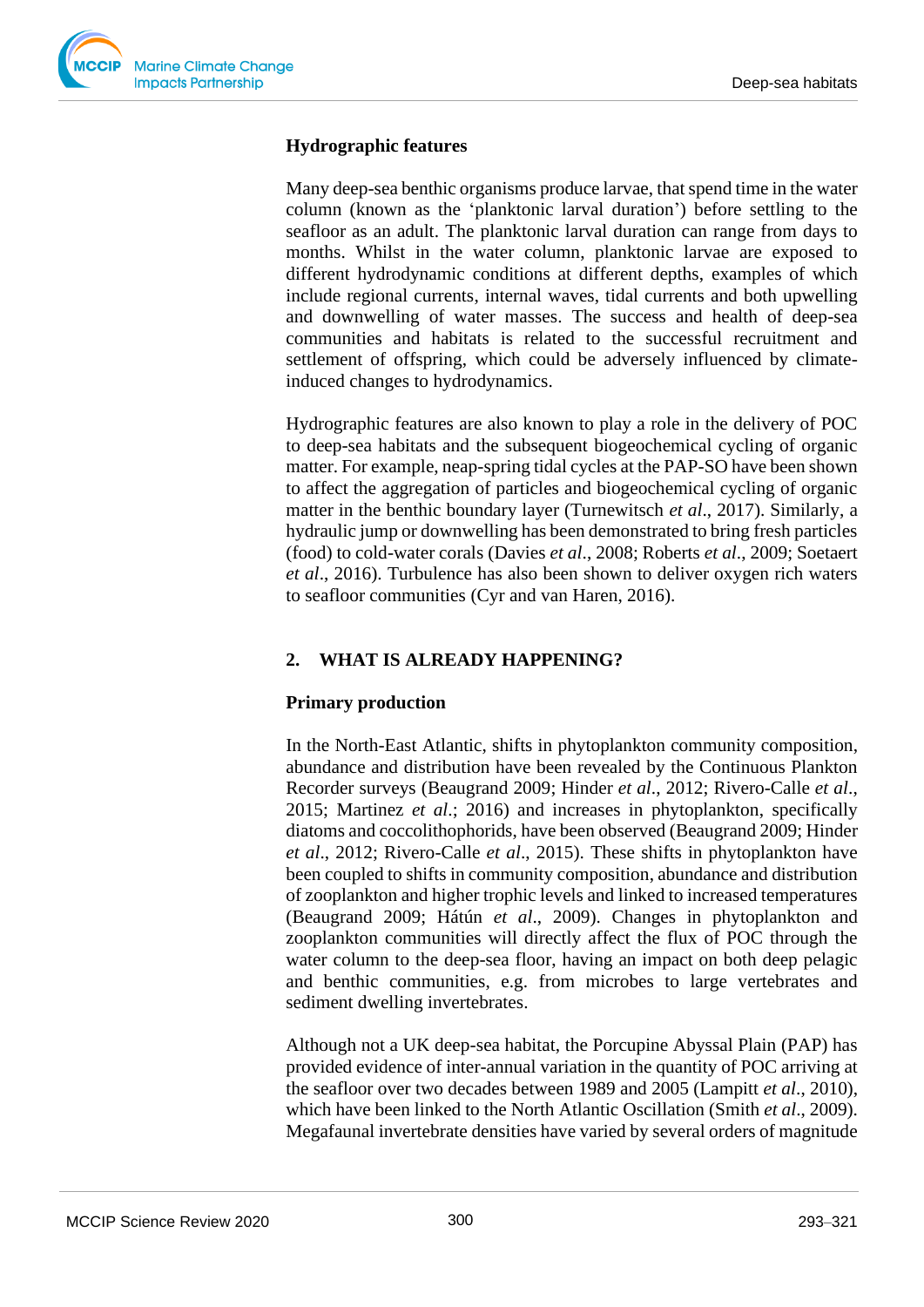

#### **Hydrographic features**

Many deep-sea benthic organisms produce larvae, that spend time in the water column (known as the 'planktonic larval duration') before settling to the seafloor as an adult. The planktonic larval duration can range from days to months. Whilst in the water column, planktonic larvae are exposed to different hydrodynamic conditions at different depths, examples of which include regional currents, internal waves, tidal currents and both upwelling and downwelling of water masses. The success and health of deep-sea communities and habitats is related to the successful recruitment and settlement of offspring, which could be adversely influenced by climateinduced changes to hydrodynamics.

Hydrographic features are also known to play a role in the delivery of POC to deep-sea habitats and the subsequent biogeochemical cycling of organic matter. For example, neap-spring tidal cycles at the PAP-SO have been shown to affect the aggregation of particles and biogeochemical cycling of organic matter in the benthic boundary layer (Turnewitsch *et al*., 2017). Similarly, a hydraulic jump or downwelling has been demonstrated to bring fresh particles (food) to cold-water corals (Davies *et al*., 2008; Roberts *et al*., 2009; Soetaert *et al*., 2016). Turbulence has also been shown to deliver oxygen rich waters to seafloor communities (Cyr and van Haren, 2016).

## **2. WHAT IS ALREADY HAPPENING?**

#### **Primary production**

In the North-East Atlantic, shifts in phytoplankton community composition, abundance and distribution have been revealed by the Continuous Plankton Recorder surveys (Beaugrand 2009; Hinder *et al*., 2012; Rivero-Calle *et al*., 2015; Martinez *et al*.; 2016) and increases in phytoplankton, specifically diatoms and coccolithophorids, have been observed (Beaugrand 2009; Hinder *et al*., 2012; Rivero-Calle *et al*., 2015). These shifts in phytoplankton have been coupled to shifts in community composition, abundance and distribution of zooplankton and higher trophic levels and linked to increased temperatures (Beaugrand 2009; Hátún *et al*., 2009). Changes in phytoplankton and zooplankton communities will directly affect the flux of POC through the water column to the deep-sea floor, having an impact on both deep pelagic and benthic communities, e.g. from microbes to large vertebrates and sediment dwelling invertebrates.

Although not a UK deep-sea habitat, the Porcupine Abyssal Plain (PAP) has provided evidence of inter-annual variation in the quantity of POC arriving at the seafloor over two decades between 1989 and 2005 (Lampitt *et al*., 2010), which have been linked to the North Atlantic Oscillation (Smith *et al*., 2009). Megafaunal invertebrate densities have varied by several orders of magnitude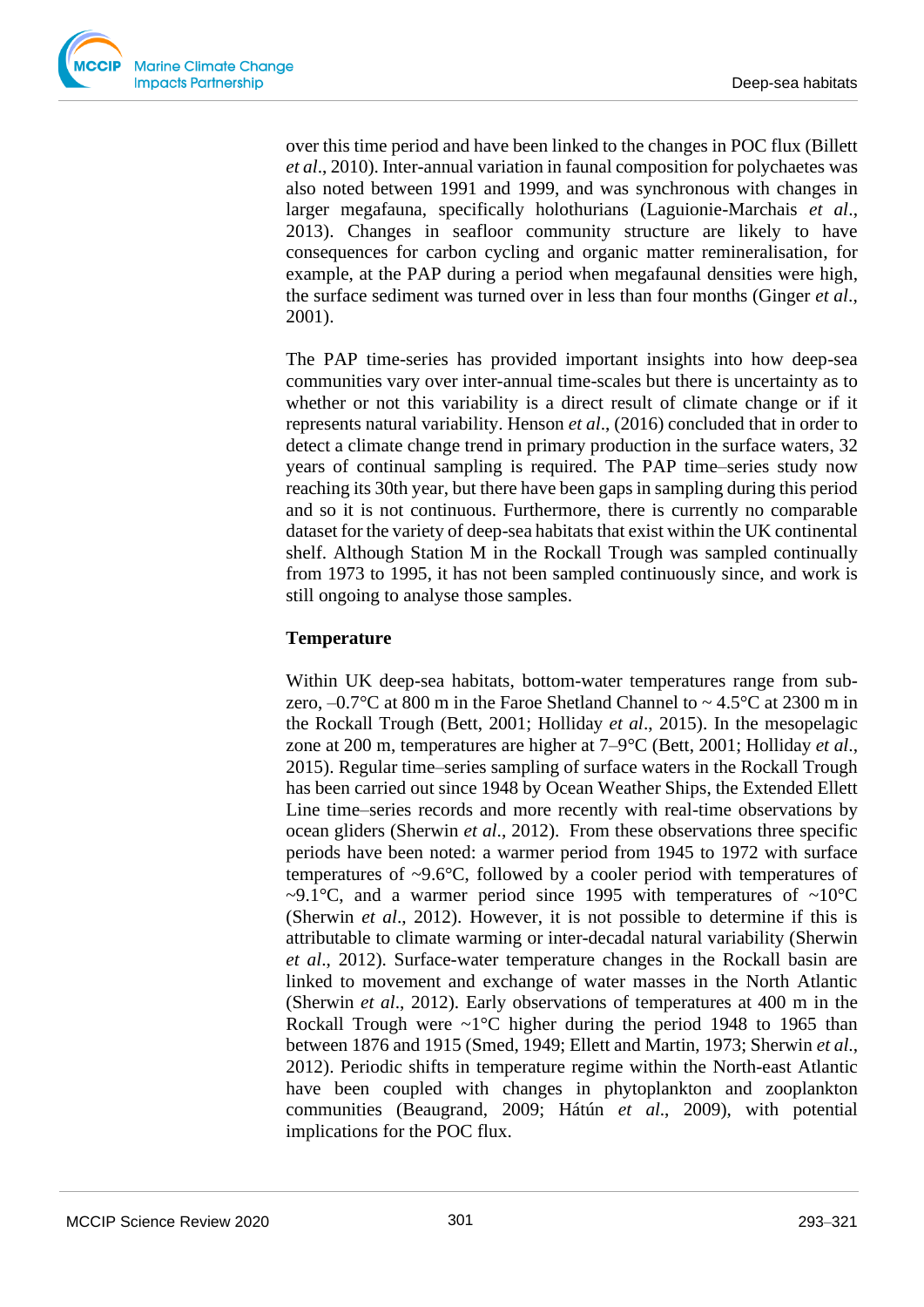over this time period and have been linked to the changes in POC flux (Billett *et al*., 2010). Inter-annual variation in faunal composition for polychaetes was also noted between 1991 and 1999, and was synchronous with changes in larger megafauna, specifically holothurians (Laguionie-Marchais *et al*., 2013). Changes in seafloor community structure are likely to have consequences for carbon cycling and organic matter remineralisation, for example, at the PAP during a period when megafaunal densities were high, the surface sediment was turned over in less than four months (Ginger *et al*., 2001).

The PAP time-series has provided important insights into how deep-sea communities vary over inter-annual time-scales but there is uncertainty as to whether or not this variability is a direct result of climate change or if it represents natural variability. Henson *et al*., (2016) concluded that in order to detect a climate change trend in primary production in the surface waters, 32 years of continual sampling is required. The PAP time–series study now reaching its 30th year, but there have been gaps in sampling during this period and so it is not continuous. Furthermore, there is currently no comparable dataset for the variety of deep-sea habitats that exist within the UK continental shelf. Although Station M in the Rockall Trough was sampled continually from 1973 to 1995, it has not been sampled continuously since, and work is still ongoing to analyse those samples.

#### **Temperature**

Within UK deep-sea habitats, bottom-water temperatures range from subzero,  $-0.7$ °C at 800 m in the Faroe Shetland Channel to  $\sim 4.5$ °C at 2300 m in the Rockall Trough (Bett, 2001; Holliday *et al*., 2015). In the mesopelagic zone at 200 m, temperatures are higher at 7–9°C (Bett, 2001; Holliday *et al*., 2015). Regular time–series sampling of surface waters in the Rockall Trough has been carried out since 1948 by Ocean Weather Ships, the Extended Ellett Line time–series records and more recently with real-time observations by ocean gliders (Sherwin *et al*., 2012). From these observations three specific periods have been noted: a warmer period from 1945 to 1972 with surface temperatures of ~9.6°C, followed by a cooler period with temperatures of ~9.1°C, and a warmer period since 1995 with temperatures of  $\sim10^{\circ}$ C (Sherwin *et al*., 2012). However, it is not possible to determine if this is attributable to climate warming or inter-decadal natural variability (Sherwin *et al*., 2012). Surface-water temperature changes in the Rockall basin are linked to movement and exchange of water masses in the North Atlantic (Sherwin *et al*., 2012). Early observations of temperatures at 400 m in the Rockall Trough were  $\sim 1^{\circ}$ C higher during the period 1948 to 1965 than between 1876 and 1915 (Smed, 1949; Ellett and Martin, 1973; Sherwin *et al*., 2012). Periodic shifts in temperature regime within the North-east Atlantic have been coupled with changes in phytoplankton and zooplankton communities (Beaugrand, 2009; Hátún *et al*., 2009), with potential implications for the POC flux.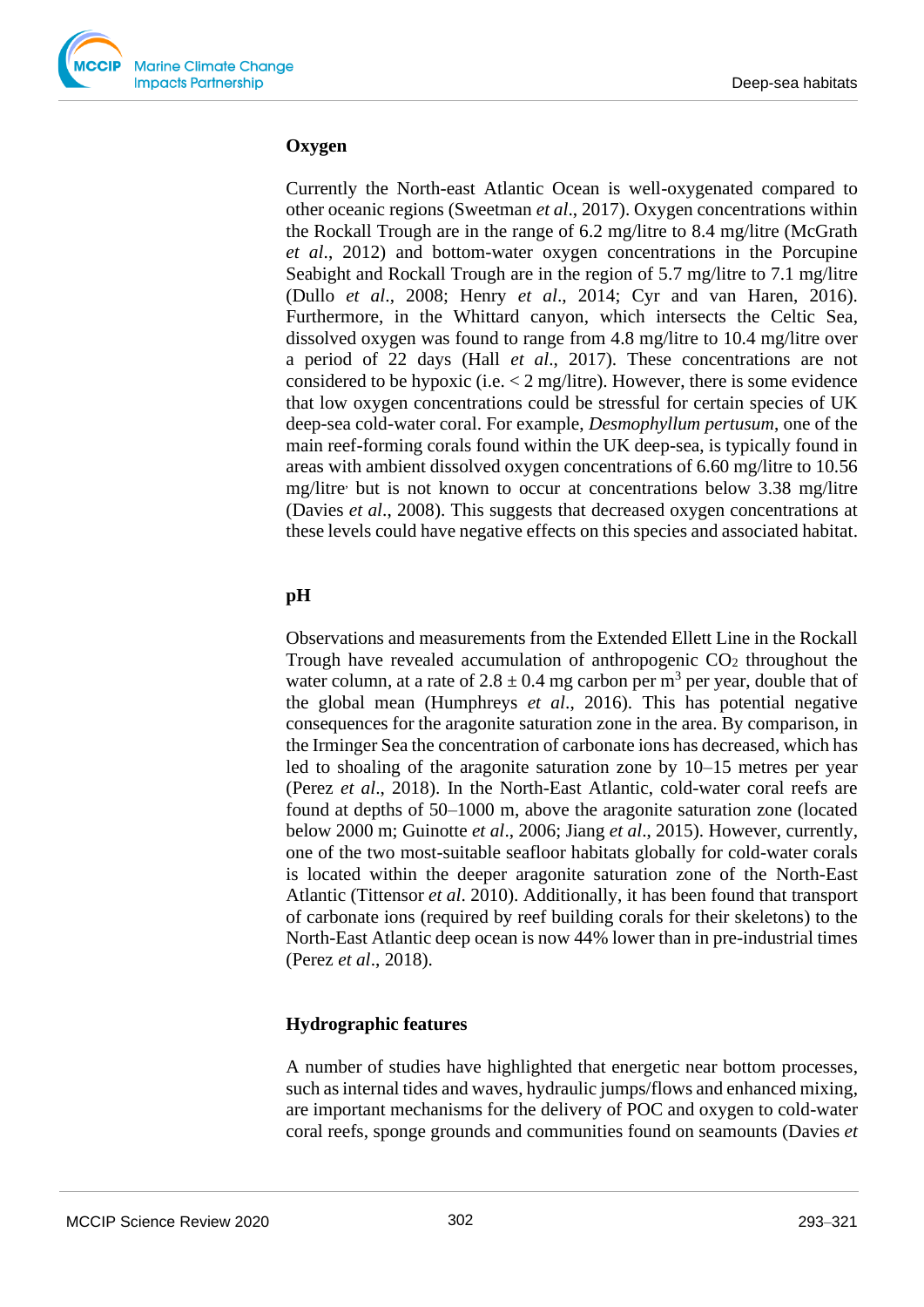

#### **Oxygen**

Currently the North-east Atlantic Ocean is well-oxygenated compared to other oceanic regions (Sweetman *et al*., 2017). Oxygen concentrations within the Rockall Trough are in the range of 6.2 mg/litre to 8.4 mg/litre (McGrath *et al*., 2012) and bottom-water oxygen concentrations in the Porcupine Seabight and Rockall Trough are in the region of 5.7 mg/litre to 7.1 mg/litre (Dullo *et al*., 2008; Henry *et al*., 2014; Cyr and van Haren, 2016). Furthermore, in the Whittard canyon, which intersects the Celtic Sea, dissolved oxygen was found to range from 4.8 mg/litre to 10.4 mg/litre over a period of 22 days (Hall *et al*., 2017). These concentrations are not considered to be hypoxic (i.e.  $\lt 2$  mg/litre). However, there is some evidence that low oxygen concentrations could be stressful for certain species of UK deep-sea cold-water coral. For example, *Desmophyllum pertusum*, one of the main reef-forming corals found within the UK deep-sea, is typically found in areas with ambient dissolved oxygen concentrations of 6.60 mg/litre to 10.56 mg/litre, but is not known to occur at concentrations below 3.38 mg/litre (Davies *et al*., 2008). This suggests that decreased oxygen concentrations at these levels could have negative effects on this species and associated habitat.

## **pH**

Observations and measurements from the Extended Ellett Line in the Rockall Trough have revealed accumulation of anthropogenic  $CO<sub>2</sub>$  throughout the water column, at a rate of  $2.8 \pm 0.4$  mg carbon per m<sup>3</sup> per year, double that of the global mean (Humphreys *et al*., 2016). This has potential negative consequences for the aragonite saturation zone in the area. By comparison, in the Irminger Sea the concentration of carbonate ions has decreased, which has led to shoaling of the aragonite saturation zone by 10–15 metres per year (Perez *et al*., 2018). In the North-East Atlantic, cold-water coral reefs are found at depths of 50–1000 m, above the aragonite saturation zone (located below 2000 m; Guinotte *et al*., 2006; Jiang *et al*., 2015). However, currently, one of the two most-suitable seafloor habitats globally for cold-water corals is located within the deeper aragonite saturation zone of the North-East Atlantic (Tittensor *et al*. 2010). Additionally, it has been found that transport of carbonate ions (required by reef building corals for their skeletons) to the North-East Atlantic deep ocean is now 44% lower than in pre-industrial times (Perez *et al*., 2018).

#### **Hydrographic features**

A number of studies have highlighted that energetic near bottom processes, such as internal tides and waves, hydraulic jumps/flows and enhanced mixing, are important mechanisms for the delivery of POC and oxygen to cold-water coral reefs, sponge grounds and communities found on seamounts (Davies *et*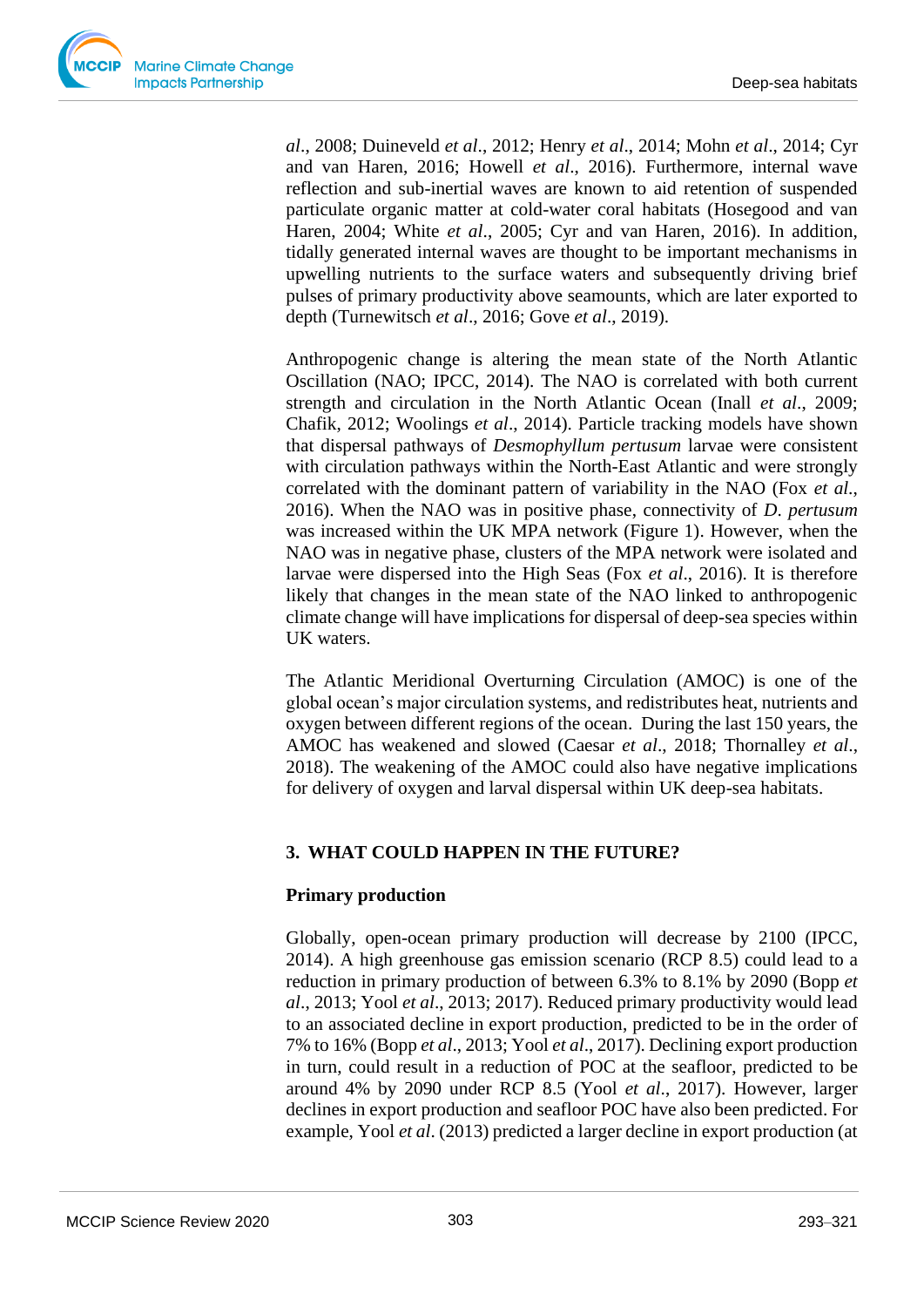

*al*., 2008; Duineveld *et al*., 2012; Henry *et al*., 2014; Mohn *et al*., 2014; Cyr and van Haren, 2016; Howell *et al*., 2016). Furthermore, internal wave reflection and sub-inertial waves are known to aid retention of suspended particulate organic matter at cold-water coral habitats (Hosegood and van Haren, 2004; White *et al*., 2005; Cyr and van Haren, 2016). In addition, tidally generated internal waves are thought to be important mechanisms in upwelling nutrients to the surface waters and subsequently driving brief pulses of primary productivity above seamounts, which are later exported to depth (Turnewitsch *et al*., 2016; Gove *et al*., 2019).

Anthropogenic change is altering the mean state of the North Atlantic Oscillation (NAO; IPCC, 2014). The NAO is correlated with both current strength and circulation in the North Atlantic Ocean (Inall *et al*., 2009; Chafik, 2012; Woolings *et al*., 2014). Particle tracking models have shown that dispersal pathways of *Desmophyllum pertusum* larvae were consistent with circulation pathways within the North-East Atlantic and were strongly correlated with the dominant pattern of variability in the NAO (Fox *et al*., 2016). When the NAO was in positive phase, connectivity of *D*. *pertusum* was increased within the UK MPA network (Figure 1). However, when the NAO was in negative phase, clusters of the MPA network were isolated and larvae were dispersed into the High Seas (Fox *et al*., 2016). It is therefore likely that changes in the mean state of the NAO linked to anthropogenic climate change will have implications for dispersal of deep-sea species within UK waters.

The Atlantic Meridional Overturning Circulation (AMOC) is one of the global ocean's major circulation systems, and redistributes heat, nutrients and oxygen between different regions of the ocean. During the last 150 years, the AMOC has weakened and slowed (Caesar *et al*., 2018; Thornalley *et al*., 2018). The weakening of the AMOC could also have negative implications for delivery of oxygen and larval dispersal within UK deep-sea habitats.

## **3. WHAT COULD HAPPEN IN THE FUTURE?**

## **Primary production**

Globally, open-ocean primary production will decrease by 2100 (IPCC, 2014). A high greenhouse gas emission scenario (RCP 8.5) could lead to a reduction in primary production of between 6.3% to 8.1% by 2090 (Bopp *et al*., 2013; Yool *et al*., 2013; 2017). Reduced primary productivity would lead to an associated decline in export production, predicted to be in the order of 7% to 16% (Bopp *et al*., 2013; Yool *et al*., 2017). Declining export production in turn, could result in a reduction of POC at the seafloor, predicted to be around 4% by 2090 under RCP 8.5 (Yool *et al*., 2017). However, larger declines in export production and seafloor POC have also been predicted. For example, Yool *et al*. (2013) predicted a larger decline in export production (at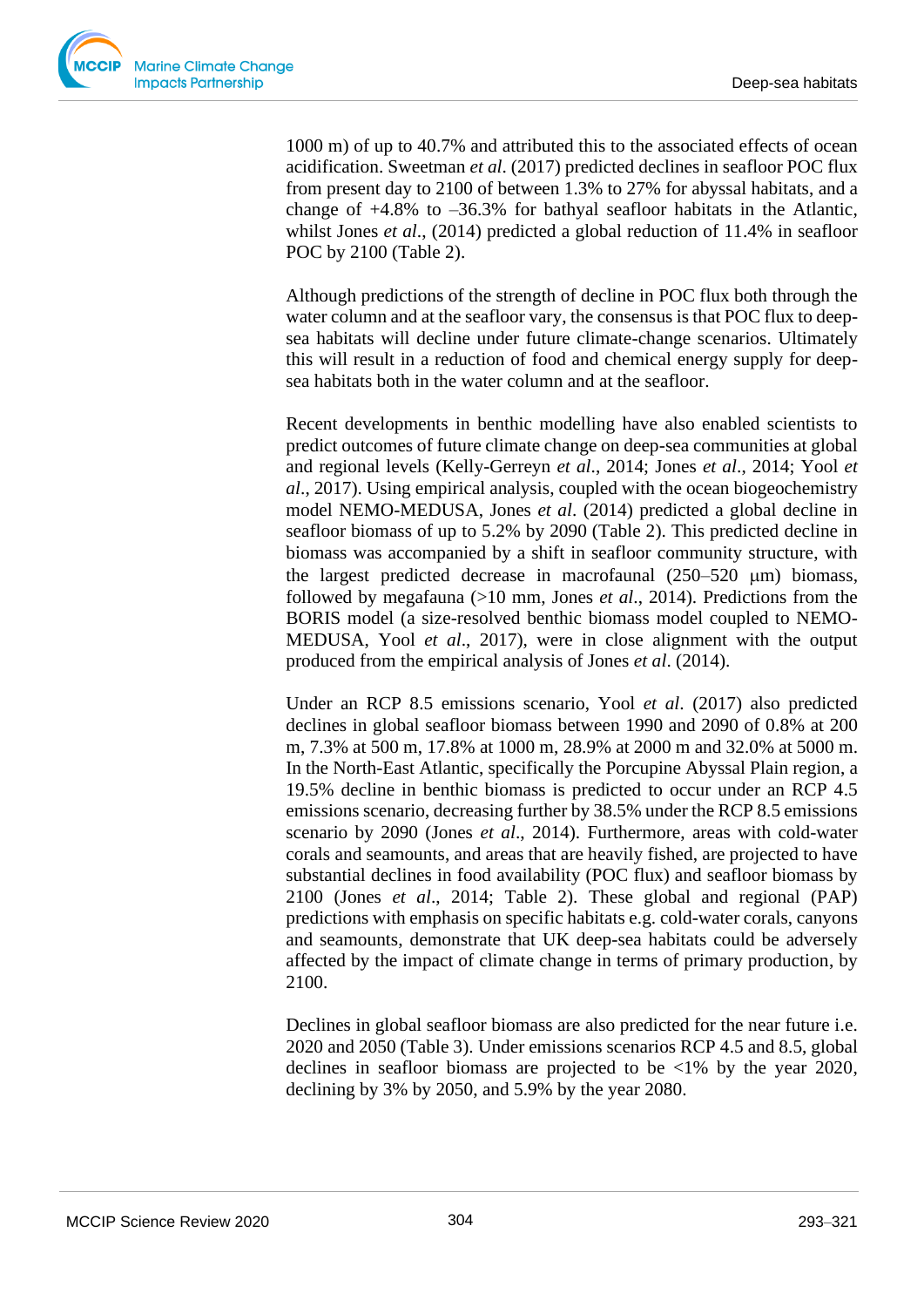1000 m) of up to 40.7% and attributed this to the associated effects of ocean acidification. Sweetman *et al*. (2017) predicted declines in seafloor POC flux from present day to 2100 of between 1.3% to 27% for abyssal habitats, and a change of +4.8% to –36.3% for bathyal seafloor habitats in the Atlantic, whilst Jones *et al*., (2014) predicted a global reduction of 11.4% in seafloor POC by 2100 (Table 2).

Although predictions of the strength of decline in POC flux both through the water column and at the seafloor vary, the consensus is that POC flux to deepsea habitats will decline under future climate-change scenarios. Ultimately this will result in a reduction of food and chemical energy supply for deepsea habitats both in the water column and at the seafloor.

Recent developments in benthic modelling have also enabled scientists to predict outcomes of future climate change on deep-sea communities at global and regional levels (Kelly-Gerreyn *et al*., 2014; Jones *et al*., 2014; Yool *et al*., 2017). Using empirical analysis, coupled with the ocean biogeochemistry model NEMO-MEDUSA, Jones *et al*. (2014) predicted a global decline in seafloor biomass of up to 5.2% by 2090 (Table 2). This predicted decline in biomass was accompanied by a shift in seafloor community structure, with the largest predicted decrease in macrofaunal  $(250-520 \mu m)$  biomass, followed by megafauna (>10 mm, Jones *et al*., 2014). Predictions from the BORIS model (a size-resolved benthic biomass model coupled to NEMO-MEDUSA, Yool *et al*., 2017), were in close alignment with the output produced from the empirical analysis of Jones *et al*. (2014).

Under an RCP 8.5 emissions scenario, Yool *et al*. (2017) also predicted declines in global seafloor biomass between 1990 and 2090 of 0.8% at 200 m, 7.3% at 500 m, 17.8% at 1000 m, 28.9% at 2000 m and 32.0% at 5000 m. In the North-East Atlantic, specifically the Porcupine Abyssal Plain region, a 19.5% decline in benthic biomass is predicted to occur under an RCP 4.5 emissions scenario, decreasing further by 38.5% under the RCP 8.5 emissions scenario by 2090 (Jones *et al*., 2014). Furthermore, areas with cold-water corals and seamounts, and areas that are heavily fished, are projected to have substantial declines in food availability (POC flux) and seafloor biomass by 2100 (Jones *et al*., 2014; Table 2). These global and regional (PAP) predictions with emphasis on specific habitats e.g. cold-water corals, canyons and seamounts, demonstrate that UK deep-sea habitats could be adversely affected by the impact of climate change in terms of primary production, by 2100.

Declines in global seafloor biomass are also predicted for the near future i.e. 2020 and 2050 (Table 3). Under emissions scenarios RCP 4.5 and 8.5, global declines in seafloor biomass are projected to be <1% by the year 2020, declining by 3% by 2050, and 5.9% by the year 2080.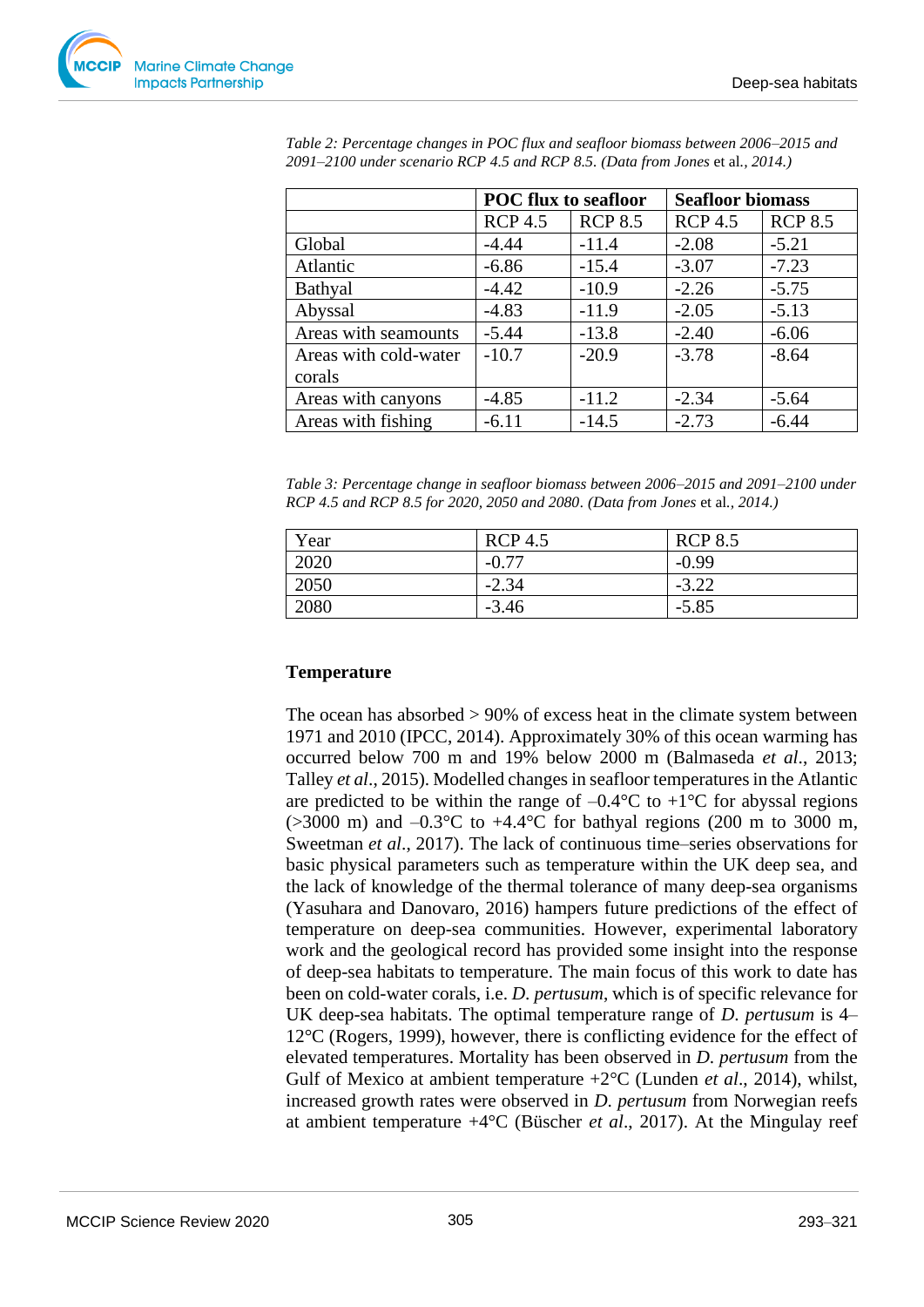

|                       | <b>POC</b> flux to seafloor |                | <b>Seafloor biomass</b> |                |  |
|-----------------------|-----------------------------|----------------|-------------------------|----------------|--|
|                       | <b>RCP 4.5</b>              | <b>RCP 8.5</b> | <b>RCP 4.5</b>          | <b>RCP 8.5</b> |  |
| Global                | $-4.44$                     | $-11.4$        | $-2.08$                 | $-5.21$        |  |
| Atlantic              | $-6.86$                     | $-15.4$        | $-3.07$                 | $-7.23$        |  |
| Bathyal               | $-4.42$                     | $-10.9$        | $-2.26$                 | $-5.75$        |  |
| Abyssal               | $-4.83$                     | $-11.9$        | $-2.05$                 | $-5.13$        |  |
| Areas with seamounts  | $-5.44$                     | $-13.8$        | $-2.40$                 | $-6.06$        |  |
| Areas with cold-water | $-10.7$                     | $-20.9$        | $-3.78$                 | $-8.64$        |  |
| corals                |                             |                |                         |                |  |
| Areas with canyons    | $-4.85$                     | $-11.2$        | $-2.34$                 | $-5.64$        |  |
| Areas with fishing    | $-6.11$                     | $-14.5$        | $-2.73$                 | $-6.44$        |  |

*Table 2: Percentage changes in POC flux and seafloor biomass between 2006–2015 and 2091–2100 under scenario RCP 4.5 and RCP 8.5. (Data from Jones* et al*., 2014.)*

|                                                                              |  |  |  | Table 3: Percentage change in seafloor biomass between 2006–2015 and 2091–2100 under |
|------------------------------------------------------------------------------|--|--|--|--------------------------------------------------------------------------------------|
| RCP 4.5 and RCP 8.5 for 2020, 2050 and 2080. (Data from Jones et al., 2014.) |  |  |  |                                                                                      |

| Year | <b>RCP 4.5</b> | <b>RCP 8.5</b> |
|------|----------------|----------------|
| 2020 | $-0.77$        | $-0.99$        |
| 2050 | $-2.34$        | $-3.22$        |
| 2080 | $-3.46$        | $-5.85$        |

#### **Temperature**

The ocean has absorbed > 90% of excess heat in the climate system between 1971 and 2010 (IPCC, 2014). Approximately 30% of this ocean warming has occurred below 700 m and 19% below 2000 m (Balmaseda *et al*., 2013; Talley *et al*., 2015). Modelled changes in seafloor temperatures in the Atlantic are predicted to be within the range of  $-0.4$ °C to  $+1$ °C for abyssal regions  $(>3000 \text{ m})$  and  $-0.3^{\circ}$ C to  $+4.4^{\circ}$ C for bathyal regions (200 m to 3000 m, Sweetman *et al*., 2017). The lack of continuous time–series observations for basic physical parameters such as temperature within the UK deep sea, and the lack of knowledge of the thermal tolerance of many deep-sea organisms (Yasuhara and Danovaro, 2016) hampers future predictions of the effect of temperature on deep-sea communities. However, experimental laboratory work and the geological record has provided some insight into the response of deep-sea habitats to temperature. The main focus of this work to date has been on cold-water corals, i.e. *D*. *pertusum*, which is of specific relevance for UK deep-sea habitats. The optimal temperature range of *D*. *pertusum* is 4– 12°C (Rogers, 1999), however, there is conflicting evidence for the effect of elevated temperatures. Mortality has been observed in *D*. *pertusum* from the Gulf of Mexico at ambient temperature +2°C (Lunden *et al*., 2014), whilst, increased growth rates were observed in *D*. *pertusum* from Norwegian reefs at ambient temperature +4°C (Büscher *et al*., 2017). At the Mingulay reef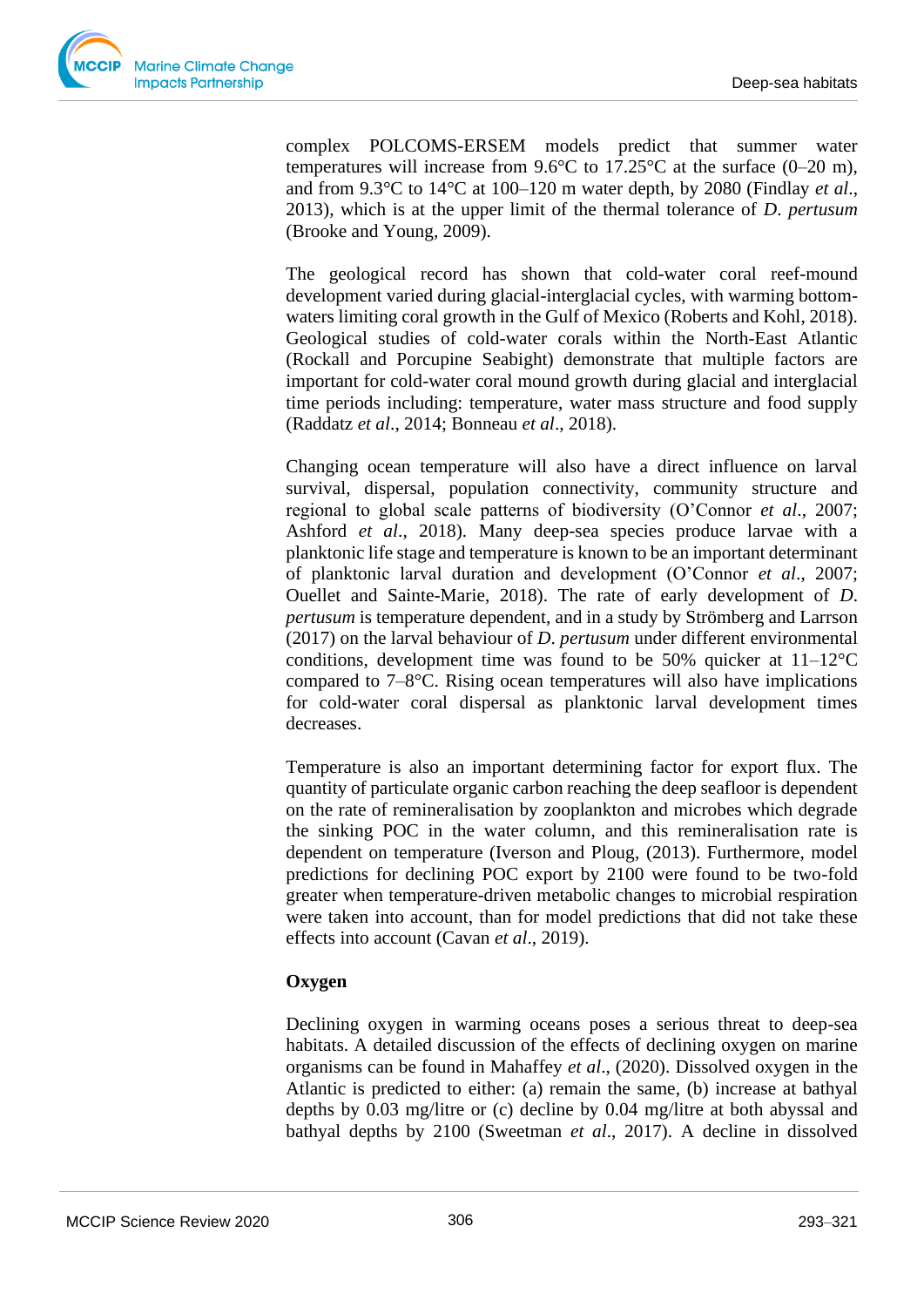

complex POLCOMS-ERSEM models predict that summer water temperatures will increase from  $9.6^{\circ}$ C to  $17.25^{\circ}$ C at the surface (0–20 m), and from 9.3°C to 14°C at 100–120 m water depth, by 2080 (Findlay *et al*., 2013), which is at the upper limit of the thermal tolerance of *D*. *pertusum* (Brooke and Young, 2009).

The geological record has shown that cold-water coral reef-mound development varied during glacial-interglacial cycles, with warming bottomwaters limiting coral growth in the Gulf of Mexico (Roberts and Kohl, 2018). Geological studies of cold-water corals within the North-East Atlantic (Rockall and Porcupine Seabight) demonstrate that multiple factors are important for cold-water coral mound growth during glacial and interglacial time periods including: temperature, water mass structure and food supply (Raddatz *et al*., 2014; Bonneau *et al*., 2018).

Changing ocean temperature will also have a direct influence on larval survival, dispersal, population connectivity, community structure and regional to global scale patterns of biodiversity (O'Connor *et al*., 2007; Ashford *et al*., 2018). Many deep-sea species produce larvae with a planktonic life stage and temperature is known to be an important determinant of planktonic larval duration and development (O'Connor *et al*., 2007; Ouellet and Sainte-Marie, 2018). The rate of early development of *D*. *pertusum* is temperature dependent, and in a study by Strömberg and Larrson (2017) on the larval behaviour of *D*. *pertusum* under different environmental conditions, development time was found to be 50% quicker at 11–12°C compared to 7–8°C. Rising ocean temperatures will also have implications for cold-water coral dispersal as planktonic larval development times decreases.

Temperature is also an important determining factor for export flux. The quantity of particulate organic carbon reaching the deep seafloor is dependent on the rate of remineralisation by zooplankton and microbes which degrade the sinking POC in the water column, and this remineralisation rate is dependent on temperature (Iverson and Ploug, (2013). Furthermore, model predictions for declining POC export by 2100 were found to be two-fold greater when temperature-driven metabolic changes to microbial respiration were taken into account, than for model predictions that did not take these effects into account (Cavan *et al*., 2019).

## **Oxygen**

Declining oxygen in warming oceans poses a serious threat to deep-sea habitats. A detailed discussion of the effects of declining oxygen on marine organisms can be found in Mahaffey *et al*., (2020). Dissolved oxygen in the Atlantic is predicted to either: (a) remain the same, (b) increase at bathyal depths by 0.03 mg/litre or (c) decline by 0.04 mg/litre at both abyssal and bathyal depths by 2100 (Sweetman *et al*., 2017). A decline in dissolved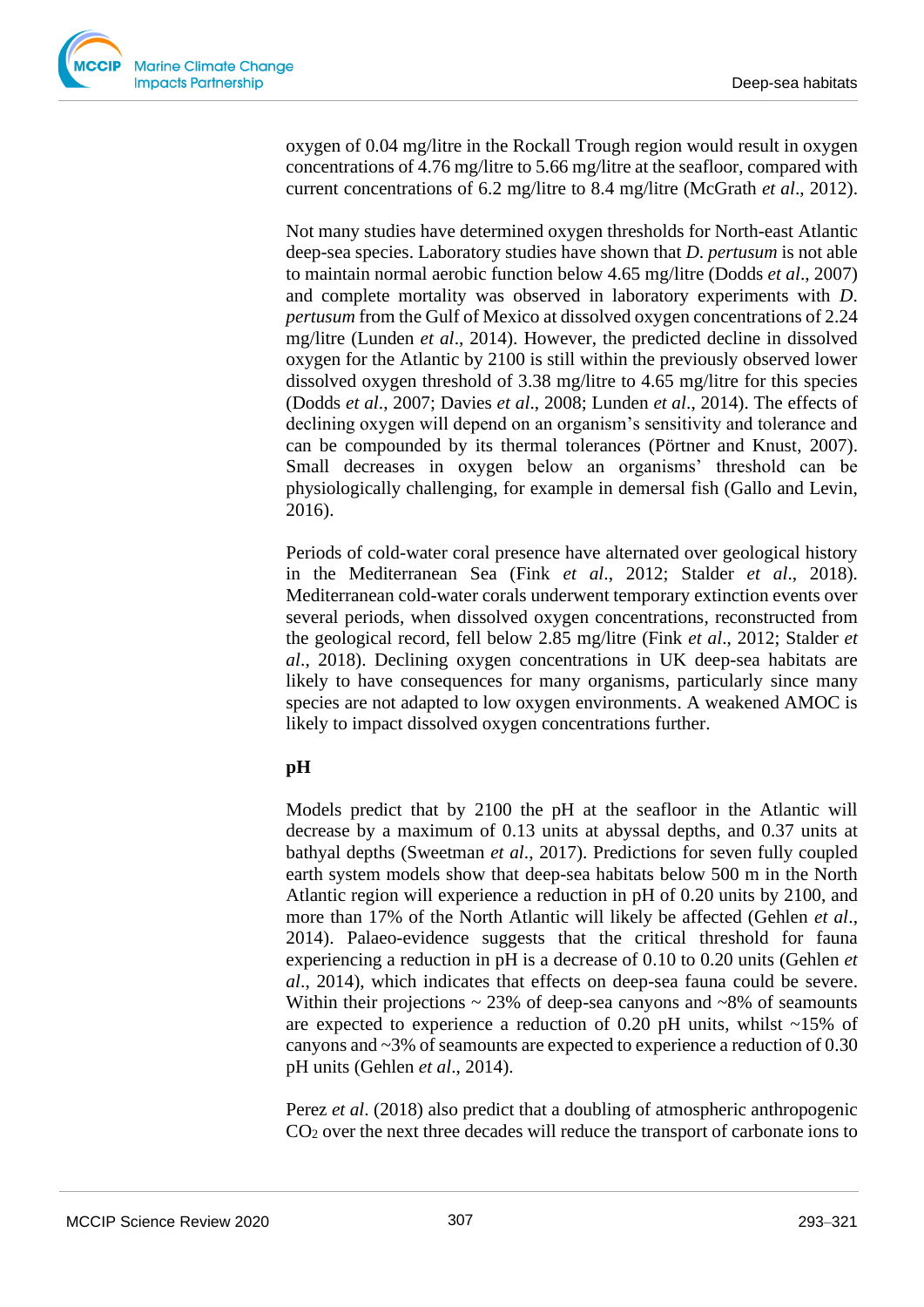

oxygen of 0.04 mg/litre in the Rockall Trough region would result in oxygen concentrations of 4.76 mg/litre to 5.66 mg/litre at the seafloor, compared with current concentrations of 6.2 mg/litre to 8.4 mg/litre (McGrath *et al*., 2012).

Not many studies have determined oxygen thresholds for North-east Atlantic deep-sea species. Laboratory studies have shown that *D*. *pertusum* is not able to maintain normal aerobic function below 4.65 mg/litre (Dodds *et al*., 2007) and complete mortality was observed in laboratory experiments with *D*. *pertusum* from the Gulf of Mexico at dissolved oxygen concentrations of 2.24 mg/litre (Lunden *et al*., 2014). However, the predicted decline in dissolved oxygen for the Atlantic by 2100 is still within the previously observed lower dissolved oxygen threshold of 3.38 mg/litre to 4.65 mg/litre for this species (Dodds *et al*., 2007; Davies *et al*., 2008; Lunden *et al*., 2014). The effects of declining oxygen will depend on an organism's sensitivity and tolerance and can be compounded by its thermal tolerances (Pörtner and Knust, 2007). Small decreases in oxygen below an organisms' threshold can be physiologically challenging, for example in demersal fish (Gallo and Levin, 2016).

Periods of cold-water coral presence have alternated over geological history in the Mediterranean Sea (Fink *et al*., 2012; Stalder *et al*., 2018). Mediterranean cold-water corals underwent temporary extinction events over several periods, when dissolved oxygen concentrations, reconstructed from the geological record, fell below 2.85 mg/litre (Fink *et al*., 2012; Stalder *et al*., 2018). Declining oxygen concentrations in UK deep-sea habitats are likely to have consequences for many organisms, particularly since many species are not adapted to low oxygen environments. A weakened AMOC is likely to impact dissolved oxygen concentrations further.

## **pH**

Models predict that by 2100 the pH at the seafloor in the Atlantic will decrease by a maximum of 0.13 units at abyssal depths, and 0.37 units at bathyal depths (Sweetman *et al*., 2017). Predictions for seven fully coupled earth system models show that deep-sea habitats below 500 m in the North Atlantic region will experience a reduction in pH of 0.20 units by 2100, and more than 17% of the North Atlantic will likely be affected (Gehlen *et al*., 2014). Palaeo-evidence suggests that the critical threshold for fauna experiencing a reduction in pH is a decrease of 0.10 to 0.20 units (Gehlen *et al*., 2014), which indicates that effects on deep-sea fauna could be severe. Within their projections  $\sim$  23% of deep-sea canyons and  $\sim$ 8% of seamounts are expected to experience a reduction of 0.20 pH units, whilst  $\sim$ 15% of canyons and ~3% of seamounts are expected to experience a reduction of 0.30 pH units (Gehlen *et al*., 2014).

Perez *et al.* (2018) also predict that a doubling of atmospheric anthropogenic CO<sup>2</sup> over the next three decades will reduce the transport of carbonate ions to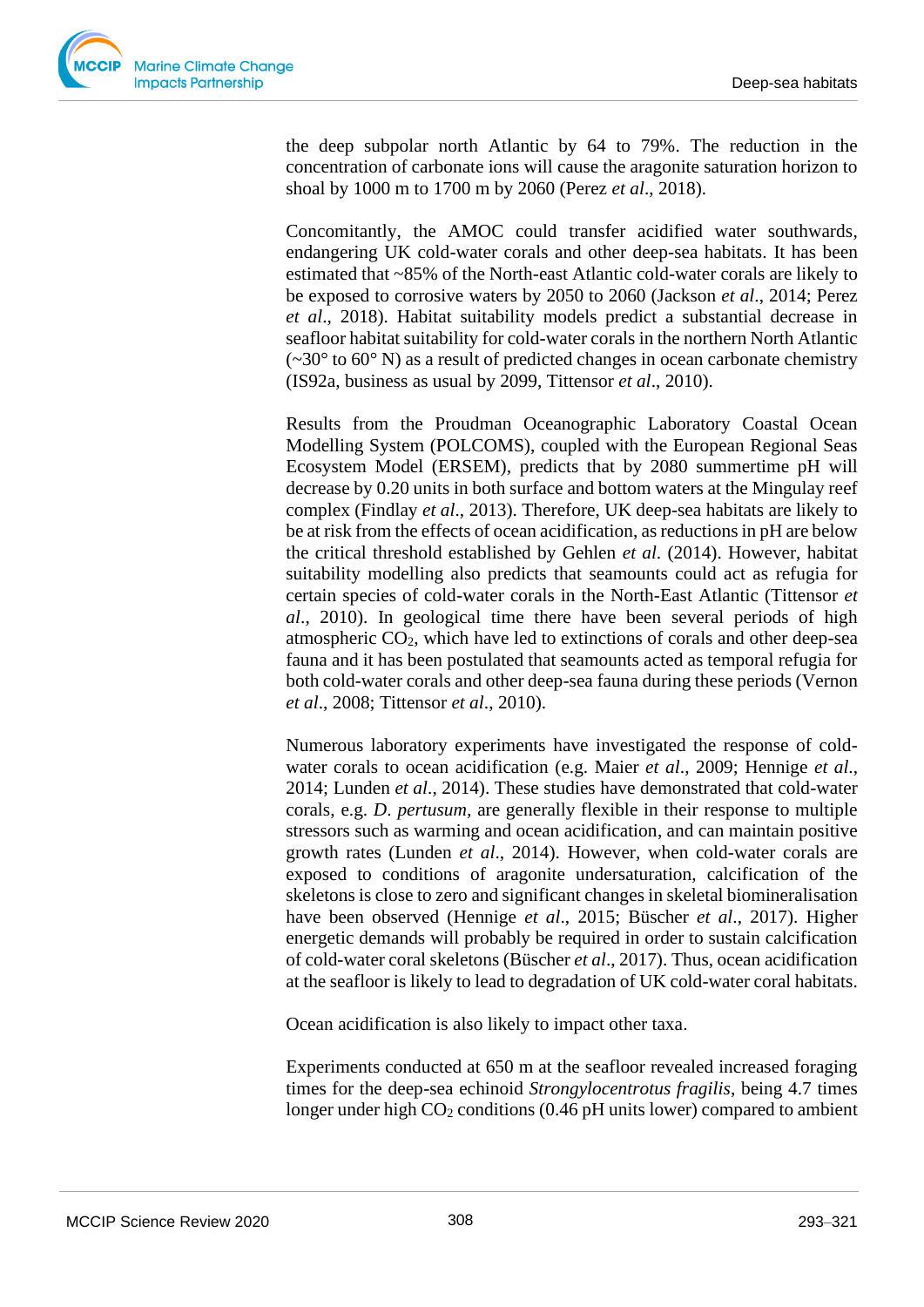

the deep subpolar north Atlantic by 64 to 79%. The reduction in the concentration of carbonate ions will cause the aragonite saturation horizon to shoal by 1000 m to 1700 m by 2060 (Perez *et al*., 2018).

Concomitantly, the AMOC could transfer acidified water southwards, endangering UK cold-water corals and other deep-sea habitats. It has been estimated that ~85% of the North-east Atlantic cold-water corals are likely to be exposed to corrosive waters by 2050 to 2060 (Jackson *et al*., 2014; Perez *et al*., 2018). Habitat suitability models predict a substantial decrease in seafloor habitat suitability for cold-water corals in the northern North Atlantic  $(\sim 30^{\circ}$  to 60° N) as a result of predicted changes in ocean carbonate chemistry (IS92a, business as usual by 2099, Tittensor *et al*., 2010).

Results from the Proudman Oceanographic Laboratory Coastal Ocean Modelling System (POLCOMS), coupled with the European Regional Seas Ecosystem Model (ERSEM), predicts that by 2080 summertime pH will decrease by 0.20 units in both surface and bottom waters at the Mingulay reef complex (Findlay *et al*., 2013). Therefore, UK deep-sea habitats are likely to be at risk from the effects of ocean acidification, as reductions in pH are below the critical threshold established by Gehlen *et al*. (2014). However, habitat suitability modelling also predicts that seamounts could act as refugia for certain species of cold-water corals in the North-East Atlantic (Tittensor *et al*., 2010). In geological time there have been several periods of high atmospheric  $CO<sub>2</sub>$ , which have led to extinctions of corals and other deep-sea fauna and it has been postulated that seamounts acted as temporal refugia for both cold-water corals and other deep-sea fauna during these periods (Vernon *et al*., 2008; Tittensor *et al*., 2010).

Numerous laboratory experiments have investigated the response of coldwater corals to ocean acidification (e.g. Maier *et al*., 2009; Hennige *et al*., 2014; Lunden *et al*., 2014). These studies have demonstrated that cold-water corals, e.g. *D*. *pertusum,* are generally flexible in their response to multiple stressors such as warming and ocean acidification, and can maintain positive growth rates (Lunden *et al*., 2014). However, when cold-water corals are exposed to conditions of aragonite undersaturation, calcification of the skeletons is close to zero and significant changes in skeletal biomineralisation have been observed (Hennige *et al*., 2015; Büscher *et al*., 2017). Higher energetic demands will probably be required in order to sustain calcification of cold-water coral skeletons (Büscher *et al*., 2017). Thus, ocean acidification at the seafloor is likely to lead to degradation of UK cold-water coral habitats.

Ocean acidification is also likely to impact other taxa.

Experiments conducted at 650 m at the seafloor revealed increased foraging times for the deep-sea echinoid *Strongylocentrotus fragilis*, being 4.7 times longer under high  $CO<sub>2</sub>$  conditions (0.46 pH units lower) compared to ambient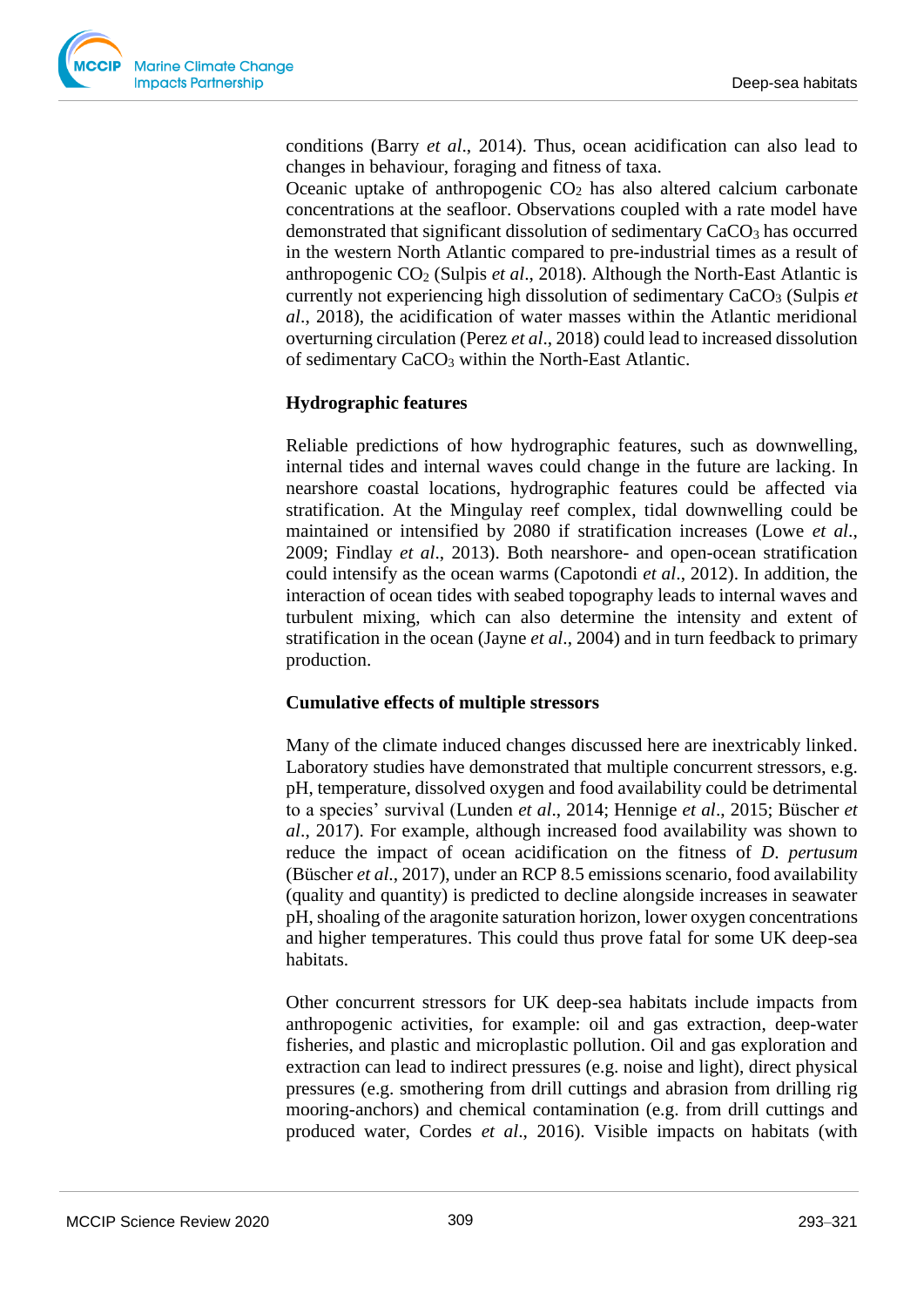conditions (Barry *et al*., 2014). Thus, ocean acidification can also lead to changes in behaviour, foraging and fitness of taxa.

Oceanic uptake of anthropogenic  $CO<sub>2</sub>$  has also altered calcium carbonate concentrations at the seafloor. Observations coupled with a rate model have demonstrated that significant dissolution of sedimentary CaCO<sub>3</sub> has occurred in the western North Atlantic compared to pre-industrial times as a result of anthropogenic CO<sup>2</sup> (Sulpis *et al*., 2018). Although the North-East Atlantic is currently not experiencing high dissolution of sedimentary CaCO<sub>3</sub> (Sulpis *et al*., 2018), the acidification of water masses within the Atlantic meridional overturning circulation (Perez *et al*., 2018) could lead to increased dissolution of sedimentary CaCO<sup>3</sup> within the North-East Atlantic.

## **Hydrographic features**

Reliable predictions of how hydrographic features, such as downwelling, internal tides and internal waves could change in the future are lacking. In nearshore coastal locations, hydrographic features could be affected via stratification. At the Mingulay reef complex, tidal downwelling could be maintained or intensified by 2080 if stratification increases (Lowe *et al*., 2009; Findlay *et al*., 2013). Both nearshore- and open-ocean stratification could intensify as the ocean warms (Capotondi *et al*., 2012). In addition, the interaction of ocean tides with seabed topography leads to internal waves and turbulent mixing, which can also determine the intensity and extent of stratification in the ocean (Jayne *et al*., 2004) and in turn feedback to primary production.

#### **Cumulative effects of multiple stressors**

Many of the climate induced changes discussed here are inextricably linked. Laboratory studies have demonstrated that multiple concurrent stressors, e.g. pH, temperature, dissolved oxygen and food availability could be detrimental to a species' survival (Lunden *et al*., 2014; Hennige *et al*., 2015; Büscher *et al*., 2017). For example, although increased food availability was shown to reduce the impact of ocean acidification on the fitness of *D*. *pertusum* (Büscher *et al*., 2017), under an RCP 8.5 emissions scenario, food availability (quality and quantity) is predicted to decline alongside increases in seawater pH, shoaling of the aragonite saturation horizon, lower oxygen concentrations and higher temperatures. This could thus prove fatal for some UK deep-sea habitats.

Other concurrent stressors for UK deep-sea habitats include impacts from anthropogenic activities, for example: oil and gas extraction, deep-water fisheries, and plastic and microplastic pollution. Oil and gas exploration and extraction can lead to indirect pressures (e.g. noise and light), direct physical pressures (e.g. smothering from drill cuttings and abrasion from drilling rig mooring-anchors) and chemical contamination (e.g. from drill cuttings and produced water, Cordes *et al*., 2016). Visible impacts on habitats (with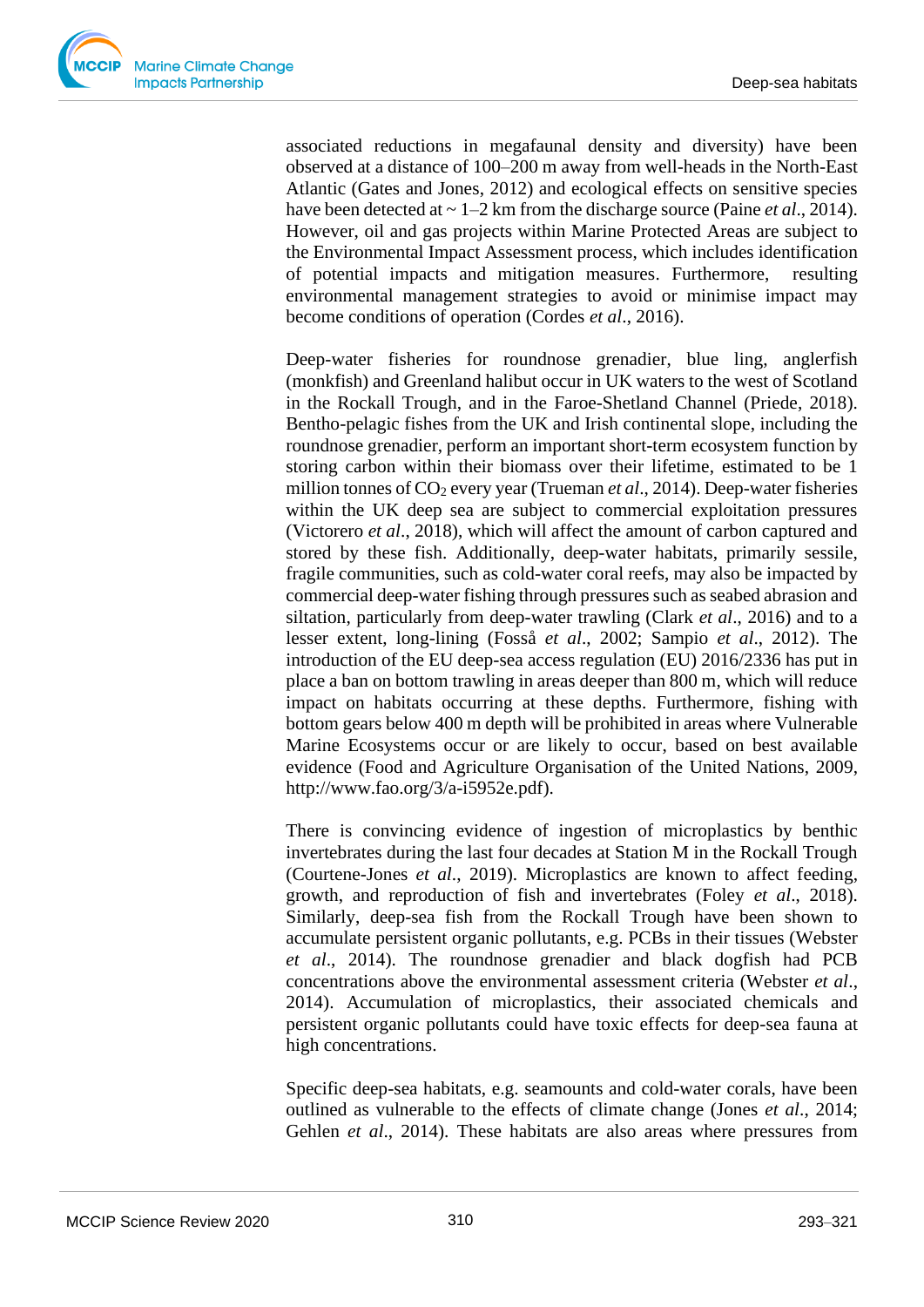

associated reductions in megafaunal density and diversity) have been observed at a distance of 100–200 m away from well-heads in the North-East Atlantic (Gates and Jones, 2012) and ecological effects on sensitive species have been detected at ~ 1–2 km from the discharge source (Paine *et al*., 2014). However, oil and gas projects within Marine Protected Areas are subject to the Environmental Impact Assessment process, which includes identification of potential impacts and mitigation measures. Furthermore, resulting environmental management strategies to avoid or minimise impact may become conditions of operation (Cordes *et al*., 2016).

Deep-water fisheries for roundnose grenadier, blue ling, anglerfish (monkfish) and Greenland halibut occur in UK waters to the west of Scotland in the Rockall Trough, and in the Faroe-Shetland Channel (Priede, 2018). Bentho-pelagic fishes from the UK and Irish continental slope, including the roundnose grenadier, perform an important short-term ecosystem function by storing carbon within their biomass over their lifetime, estimated to be 1 million tonnes of CO<sup>2</sup> every year (Trueman *et al*., 2014). Deep-water fisheries within the UK deep sea are subject to commercial exploitation pressures (Victorero *et al*., 2018), which will affect the amount of carbon captured and stored by these fish. Additionally, deep-water habitats, primarily sessile, fragile communities, such as cold-water coral reefs, may also be impacted by commercial deep-water fishing through pressures such as seabed abrasion and siltation, particularly from deep-water trawling (Clark *et al*., 2016) and to a lesser extent, long-lining (Fosså *et al*., 2002; Sampio *et al*., 2012). The introduction of the EU deep-sea access regulation (EU) 2016/2336 has put in place a ban on bottom trawling in areas deeper than 800 m, which will reduce impact on habitats occurring at these depths. Furthermore, fishing with bottom gears below 400 m depth will be prohibited in areas where Vulnerable Marine Ecosystems occur or are likely to occur, based on best available evidence (Food and Agriculture Organisation of the United Nations, 2009, http://www.fao.org/3/a-i5952e.pdf).

There is convincing evidence of ingestion of microplastics by benthic invertebrates during the last four decades at Station M in the Rockall Trough (Courtene-Jones *et al*., 2019). Microplastics are known to affect feeding, growth, and reproduction of fish and invertebrates (Foley *et al*., 2018). Similarly, deep-sea fish from the Rockall Trough have been shown to accumulate persistent organic pollutants, e.g. PCBs in their tissues (Webster *et al*., 2014). The roundnose grenadier and black dogfish had PCB concentrations above the environmental assessment criteria (Webster *et al*., 2014). Accumulation of microplastics, their associated chemicals and persistent organic pollutants could have toxic effects for deep-sea fauna at high concentrations.

Specific deep-sea habitats, e.g. seamounts and cold-water corals, have been outlined as vulnerable to the effects of climate change (Jones *et al*., 2014; Gehlen *et al*., 2014). These habitats are also areas where pressures from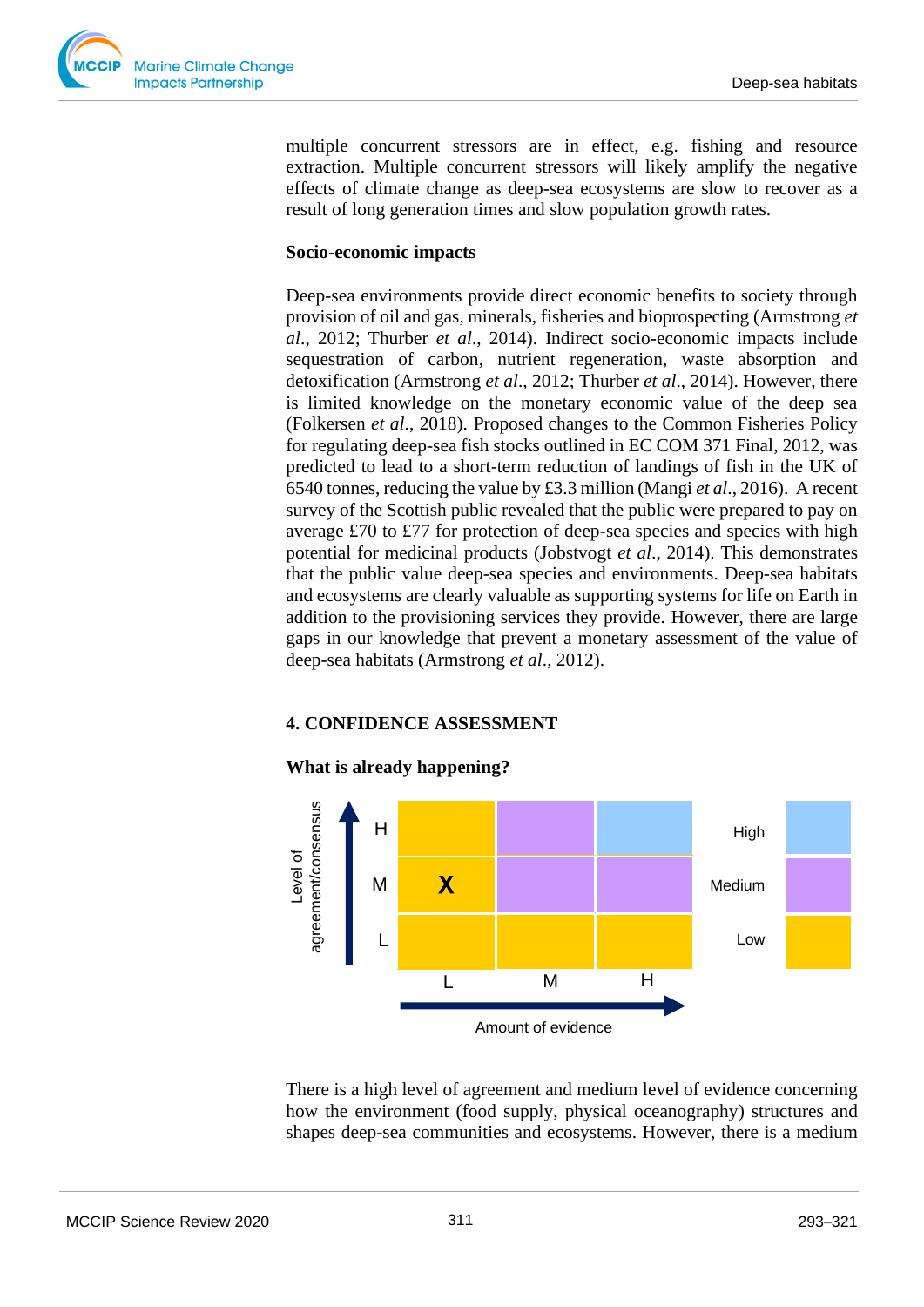

multiple concurrent stressors are in effect, e.g. fishing and resource extraction. Multiple concurrent stressors will likely amplify the negative effects of climate change as deep-sea ecosystems are slow to recover as a result of long generation times and slow population growth rates.

#### **Socio-economic impacts**

Deep-sea environments provide direct economic benefits to society through provision of oil and gas, minerals, fisheries and bioprospecting (Armstrong *et al*., 2012; Thurber *et al*., 2014). Indirect socio-economic impacts include sequestration of carbon, nutrient regeneration, waste absorption and detoxification (Armstrong *et al*., 2012; Thurber *et al*., 2014). However, there is limited knowledge on the monetary economic value of the deep sea (Folkersen *et al*., 2018). Proposed changes to the Common Fisheries Policy for regulating deep-sea fish stocks outlined in EC COM 371 Final, 2012, was predicted to lead to a short-term reduction of landings of fish in the UK of 6540 tonnes, reducing the value by £3.3 million (Mangi *et al*., 2016). A recent survey of the Scottish public revealed that the public were prepared to pay on average £70 to £77 for protection of deep-sea species and species with high potential for medicinal products (Jobstvogt *et al*., 2014). This demonstrates that the public value deep-sea species and environments. Deep-sea habitats and ecosystems are clearly valuable as supporting systems for life on Earth in addition to the provisioning services they provide. However, there are large gaps in our knowledge that prevent a monetary assessment of the value of deep-sea habitats (Armstrong *et al*., 2012).

## **4. CONFIDENCE ASSESSMENT**

#### **What is already happening?**



There is a high level of agreement and medium level of evidence concerning how the environment (food supply, physical oceanography) structures and shapes deep-sea communities and ecosystems. However, there is a medium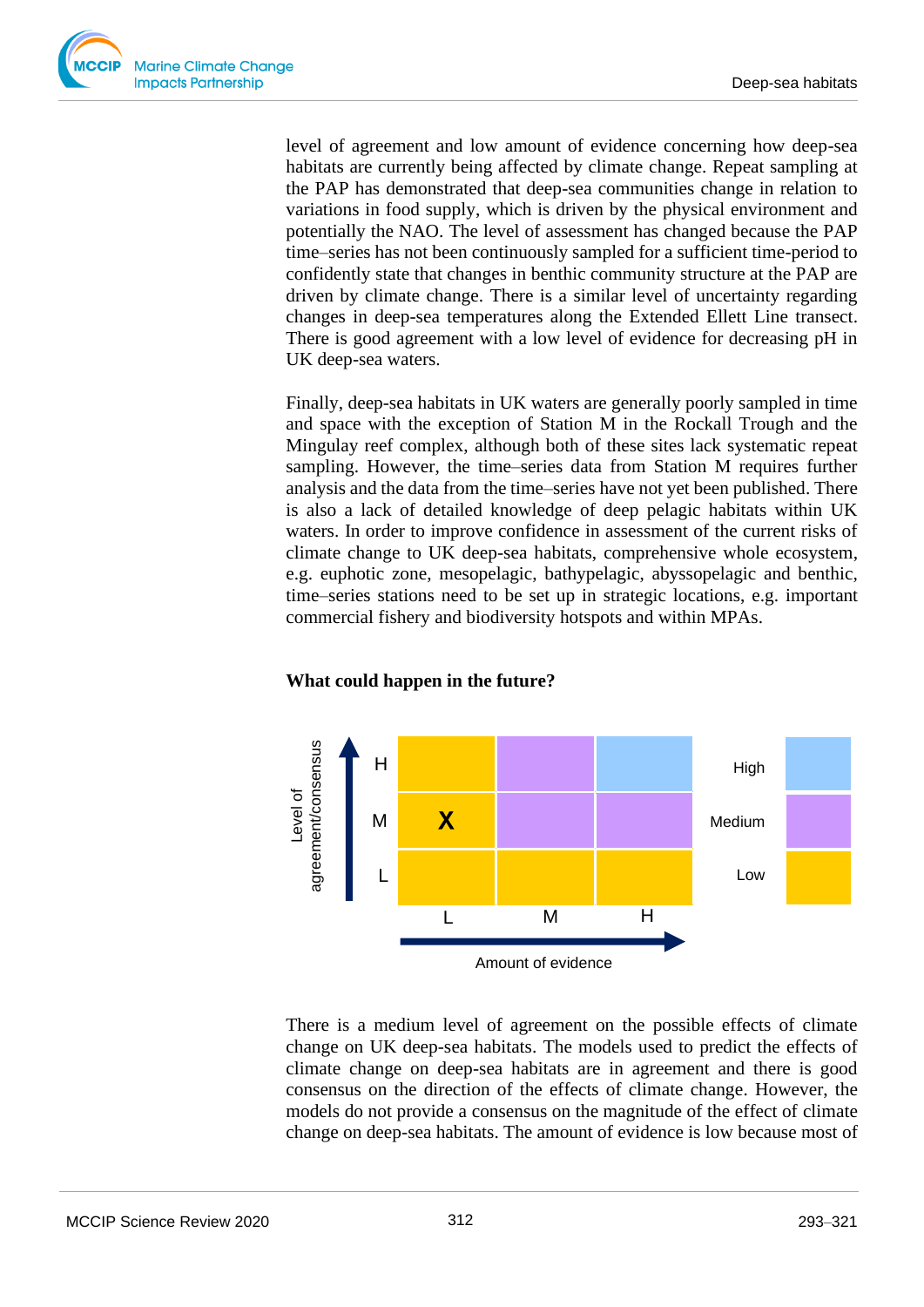

level of agreement and low amount of evidence concerning how deep-sea habitats are currently being affected by climate change. Repeat sampling at the PAP has demonstrated that deep-sea communities change in relation to variations in food supply, which is driven by the physical environment and potentially the NAO. The level of assessment has changed because the PAP time–series has not been continuously sampled for a sufficient time-period to confidently state that changes in benthic community structure at the PAP are driven by climate change. There is a similar level of uncertainty regarding changes in deep-sea temperatures along the Extended Ellett Line transect. There is good agreement with a low level of evidence for decreasing pH in UK deep-sea waters.

Finally, deep-sea habitats in UK waters are generally poorly sampled in time and space with the exception of Station M in the Rockall Trough and the Mingulay reef complex, although both of these sites lack systematic repeat sampling. However, the time–series data from Station M requires further analysis and the data from the time–series have not yet been published. There is also a lack of detailed knowledge of deep pelagic habitats within UK waters. In order to improve confidence in assessment of the current risks of climate change to UK deep-sea habitats, comprehensive whole ecosystem, e.g. euphotic zone, mesopelagic, bathypelagic, abyssopelagic and benthic, time–series stations need to be set up in strategic locations, e.g. important commercial fishery and biodiversity hotspots and within MPAs.

#### **What could happen in the future?**



There is a medium level of agreement on the possible effects of climate change on UK deep-sea habitats. The models used to predict the effects of climate change on deep-sea habitats are in agreement and there is good consensus on the direction of the effects of climate change. However, the models do not provide a consensus on the magnitude of the effect of climate change on deep-sea habitats. The amount of evidence is low because most of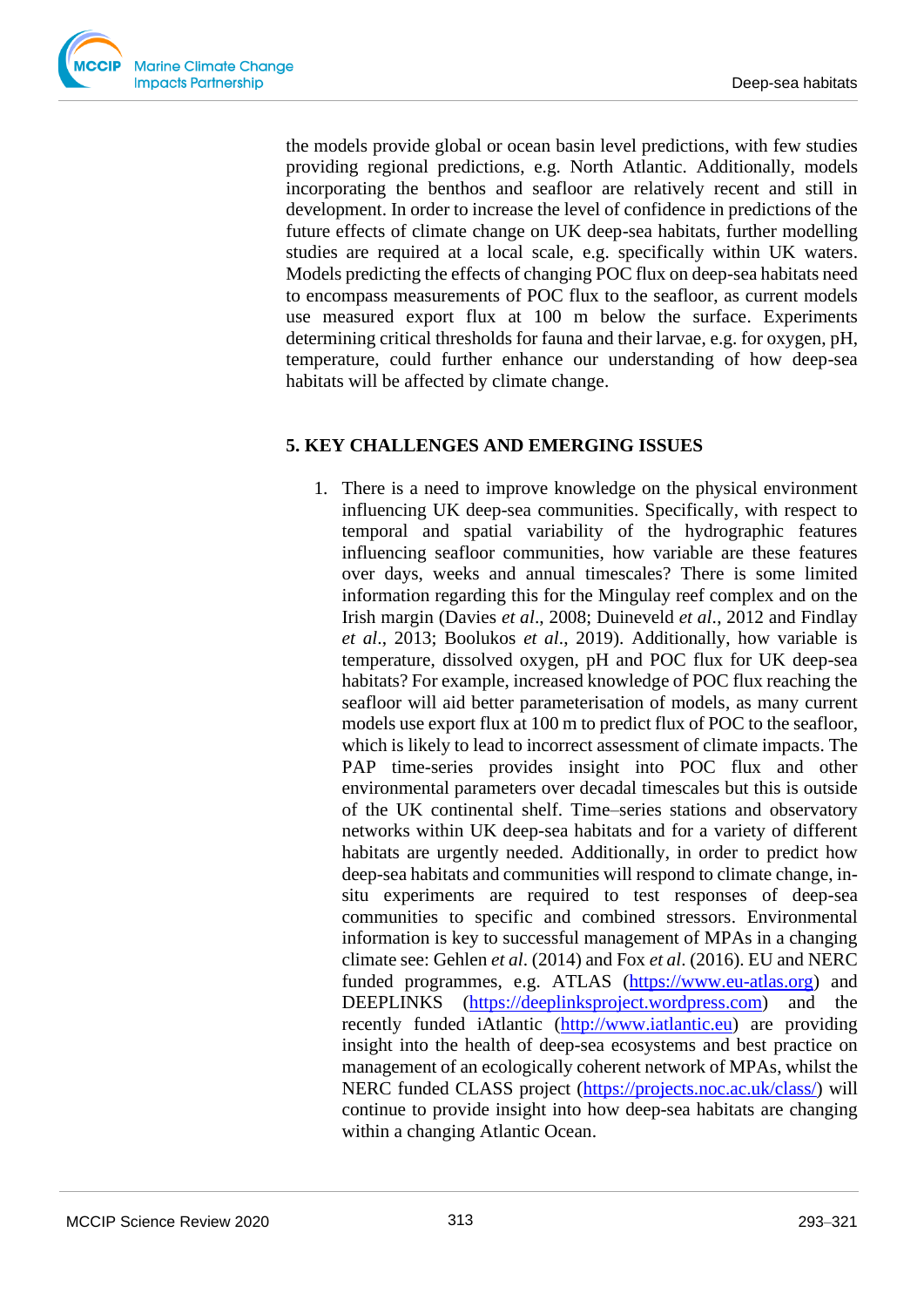the models provide global or ocean basin level predictions, with few studies providing regional predictions, e.g. North Atlantic. Additionally, models incorporating the benthos and seafloor are relatively recent and still in development. In order to increase the level of confidence in predictions of the future effects of climate change on UK deep-sea habitats, further modelling studies are required at a local scale, e.g. specifically within UK waters. Models predicting the effects of changing POC flux on deep-sea habitats need to encompass measurements of POC flux to the seafloor, as current models use measured export flux at 100 m below the surface. Experiments determining critical thresholds for fauna and their larvae, e.g. for oxygen, pH, temperature, could further enhance our understanding of how deep-sea habitats will be affected by climate change.

#### **5. KEY CHALLENGES AND EMERGING ISSUES**

1. There is a need to improve knowledge on the physical environment influencing UK deep-sea communities. Specifically, with respect to temporal and spatial variability of the hydrographic features influencing seafloor communities, how variable are these features over days, weeks and annual timescales? There is some limited information regarding this for the Mingulay reef complex and on the Irish margin (Davies *et al*., 2008; Duineveld *et al*., 2012 and Findlay *et al*., 2013; Boolukos *et al*., 2019). Additionally, how variable is temperature, dissolved oxygen, pH and POC flux for UK deep-sea habitats? For example, increased knowledge of POC flux reaching the seafloor will aid better parameterisation of models, as many current models use export flux at 100 m to predict flux of POC to the seafloor, which is likely to lead to incorrect assessment of climate impacts. The PAP time-series provides insight into POC flux and other environmental parameters over decadal timescales but this is outside of the UK continental shelf. Time–series stations and observatory networks within UK deep-sea habitats and for a variety of different habitats are urgently needed. Additionally, in order to predict how deep-sea habitats and communities will respond to climate change, insitu experiments are required to test responses of deep-sea communities to specific and combined stressors. Environmental information is key to successful management of MPAs in a changing climate see: Gehlen *et al*. (2014) and Fox *et al*. (2016). EU and NERC funded programmes, e.g. ATLAS [\(https://www.eu-atlas.org\)](https://www.eu-atlas.org/) and DEEPLINKS [\(https://deeplinksproject.wordpress.com\)](https://deeplinksproject.wordpress.com/) and the recently funded iAtlantic [\(http://www.iatlantic.eu\)](http://www.iatlantic.eu/) are providing insight into the health of deep-sea ecosystems and best practice on management of an ecologically coherent network of MPAs, whilst the NERC funded CLASS project [\(https://projects.noc.ac.uk/class/\)](https://projects.noc.ac.uk/class/) will continue to provide insight into how deep-sea habitats are changing within a changing Atlantic Ocean.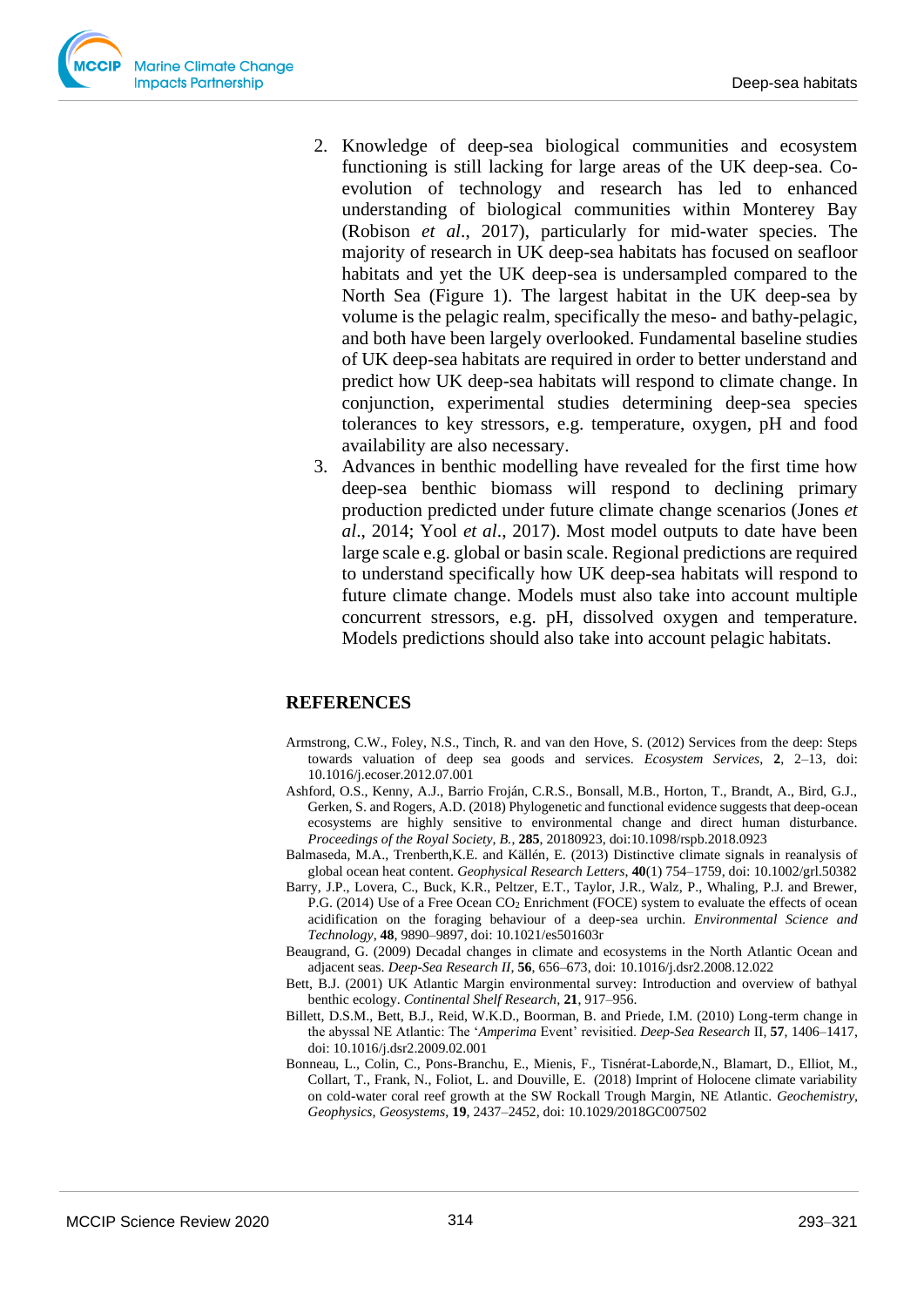- 2. Knowledge of deep-sea biological communities and ecosystem functioning is still lacking for large areas of the UK deep-sea. Coevolution of technology and research has led to enhanced understanding of biological communities within Monterey Bay (Robison *et al*., 2017), particularly for mid-water species. The majority of research in UK deep-sea habitats has focused on seafloor habitats and yet the UK deep-sea is undersampled compared to the North Sea (Figure 1). The largest habitat in the UK deep-sea by volume is the pelagic realm, specifically the meso- and bathy-pelagic, and both have been largely overlooked. Fundamental baseline studies of UK deep-sea habitats are required in order to better understand and predict how UK deep-sea habitats will respond to climate change. In conjunction, experimental studies determining deep-sea species tolerances to key stressors, e.g. temperature, oxygen, pH and food availability are also necessary.
- 3. Advances in benthic modelling have revealed for the first time how deep-sea benthic biomass will respond to declining primary production predicted under future climate change scenarios (Jones *et al*., 2014; Yool *et al*., 2017). Most model outputs to date have been large scale e.g. global or basin scale. Regional predictions are required to understand specifically how UK deep-sea habitats will respond to future climate change. Models must also take into account multiple concurrent stressors, e.g. pH, dissolved oxygen and temperature. Models predictions should also take into account pelagic habitats.

## **REFERENCES**

- Armstrong, C.W., Foley, N.S., Tinch, R. and van den Hove, S. (2012) Services from the deep: Steps towards valuation of deep sea goods and services. *Ecosystem Services*, **2**, 2–13, doi: 10.1016/j.ecoser.2012.07.001
- Ashford, O.S., Kenny, A.J., Barrio Froján, C.R.S., Bonsall, M.B., Horton, T., Brandt, A., Bird, G.J., Gerken, S. and Rogers, A.D. (2018) Phylogenetic and functional evidence suggests that deep-ocean ecosystems are highly sensitive to environmental change and direct human disturbance. *Proceedings of the Royal Society, B.*, **285**, 20180923, doi:10.1098/rspb.2018.0923
- Balmaseda, M.A., Trenberth,K.E. and Källén, E. (2013) Distinctive climate signals in reanalysis of global ocean heat content. *Geophysical Research Letters*, **40**(1) 754–1759, doi: 10.1002/grl.50382
- Barry, J.P., Lovera, C., Buck, K.R., Peltzer, E.T., Taylor, J.R., Walz, P., Whaling, P.J. and Brewer, P.G. (2014) Use of a Free Ocean CO<sub>2</sub> Enrichment (FOCE) system to evaluate the effects of ocean acidification on the foraging behaviour of a deep-sea urchin. *Environmental Science and Technology*, **48**, 9890–9897, doi: 10.1021/es501603r
- Beaugrand, G. (2009) Decadal changes in climate and ecosystems in the North Atlantic Ocean and adjacent seas. *Deep-Sea Research II*, **56**, 656–673, doi: 10.1016/j.dsr2.2008.12.022
- Bett, B.J. (2001) UK Atlantic Margin environmental survey: Introduction and overview of bathyal benthic ecology. *Continental Shelf Research*, **21**, 917–956.
- Billett, D.S.M., Bett, B.J., Reid, W.K.D., Boorman, B. and Priede, I.M. (2010) Long-term change in the abyssal NE Atlantic: The '*Amperima* Event' revisitied. *Deep-Sea Research* II, **57**, 1406–1417, doi: 10.1016/j.dsr2.2009.02.001
- Bonneau, L., Colin, C., Pons-Branchu, E., Mienis, F., Tisnérat-Laborde,N., Blamart, D., Elliot, M., Collart, T., Frank, N., Foliot, L. and Douville, E. (2018) Imprint of Holocene climate variability on cold-water coral reef growth at the SW Rockall Trough Margin, NE Atlantic. *Geochemistry, Geophysics, Geosystems*, **19**, 2437–2452, doi: 10.1029/2018GC007502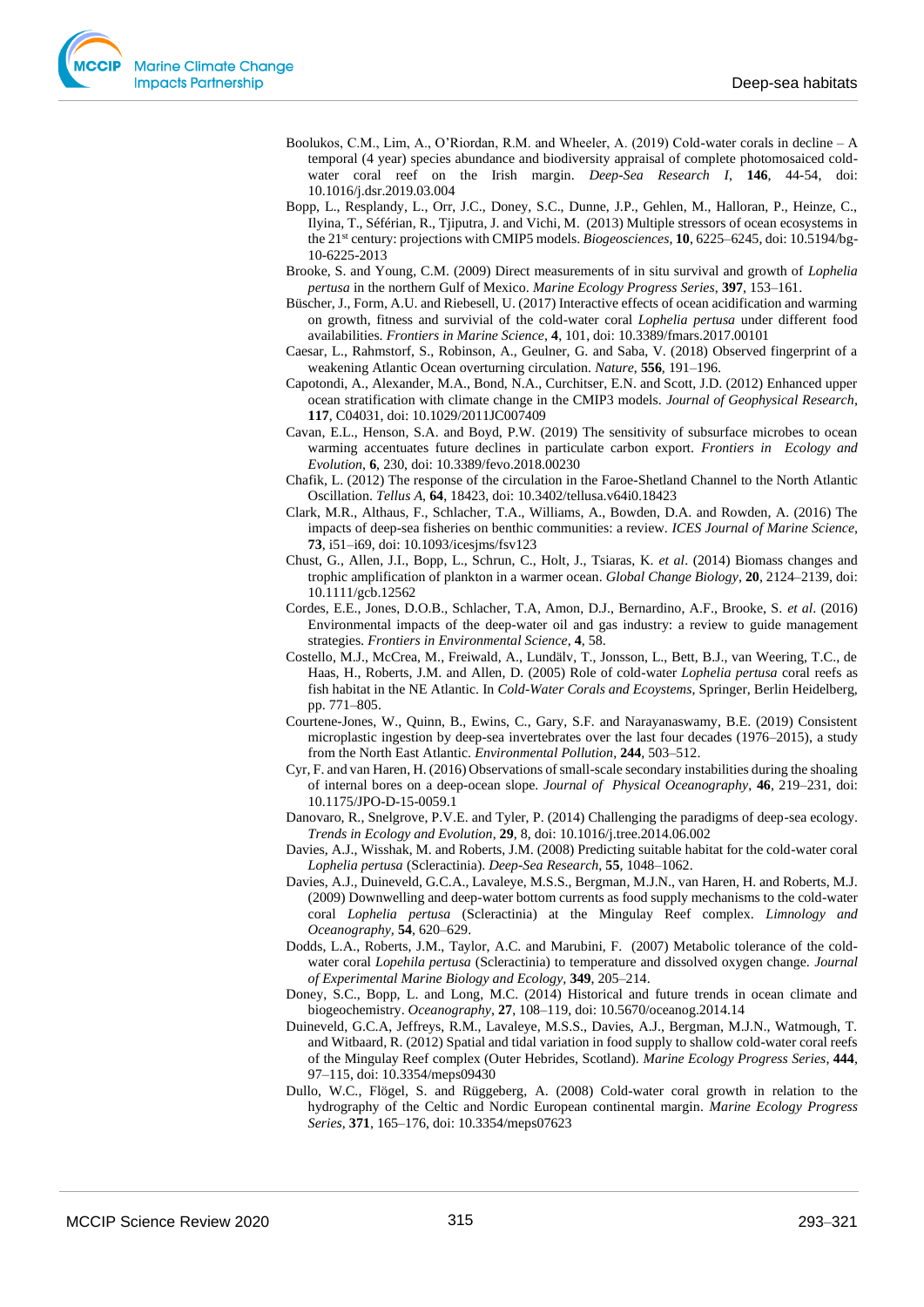- Boolukos, C.M., Lim, A., O'Riordan, R.M. and Wheeler, A. (2019) Cold-water corals in decline A temporal (4 year) species abundance and biodiversity appraisal of complete photomosaiced coldwater coral reef on the Irish margin. *Deep-Sea Research I*, **146**, 44-54, doi: 10.1016/j.dsr.2019.03.004
- Bopp, L., Resplandy, L., Orr, J.C., Doney, S.C., Dunne, J.P., Gehlen, M., Halloran, P., Heinze, C., Ilyina, T., Séférian, R., Tjiputra, J. and Vichi, M. (2013) Multiple stressors of ocean ecosystems in the 21st century: projections with CMIP5 models. *Biogeosciences*, **10**, 6225–6245, doi: 10.5194/bg-10-6225-2013
- Brooke, S. and Young, C.M. (2009) Direct measurements of in situ survival and growth of *Lophelia pertusa* in the northern Gulf of Mexico. *Marine Ecology Progress Series*, **397**, 153–161.
- Büscher, J., Form, A.U. and Riebesell, U. (2017) Interactive effects of ocean acidification and warming on growth, fitness and survivial of the cold-water coral *Lophelia pertusa* under different food availabilities. *Frontiers in Marine Science*, **4**, 101, doi: 10.3389/fmars.2017.00101
- Caesar, L., Rahmstorf, S., Robinson, A., Geulner, G. and Saba, V. (2018) Observed fingerprint of a weakening Atlantic Ocean overturning circulation. *Nature*, **556**, 191–196.
- Capotondi, A., Alexander, M.A., Bond, N.A., Curchitser, E.N. and Scott, J.D. (2012) Enhanced upper ocean stratification with climate change in the CMIP3 models. *Journal of Geophysical Research*, **117**, C04031, doi: 10.1029/2011JC007409
- Cavan, E.L., Henson, S.A. and Boyd, P.W. (2019) The sensitivity of subsurface microbes to ocean warming accentuates future declines in particulate carbon export. *Frontiers in Ecology and Evolution*, **6**, 230, doi: 10.3389/fevo.2018.00230
- Chafik, L. (2012) The response of the circulation in the Faroe-Shetland Channel to the North Atlantic Oscillation. *Tellus A*, **64**, 18423, doi: 10.3402/tellusa.v64i0.18423
- Clark, M.R., Althaus, F., Schlacher, T.A., Williams, A., Bowden, D.A. and Rowden, A. (2016) The impacts of deep-sea fisheries on benthic communities: a review. *ICES Journal of Marine Science*, **73**, i51–i69, doi: 10.1093/icesjms/fsv123
- Chust, G., Allen, J.I., Bopp, L., Schrun, C., Holt, J., Tsiaras, K. *et al*. (2014) Biomass changes and trophic amplification of plankton in a warmer ocean. *Global Change Biology*, **20**, 2124–2139, doi: 10.1111/gcb.12562
- Cordes, E.E., Jones, D.O.B., Schlacher, T.A, Amon, D.J., Bernardino, A.F., Brooke, S. *et al*. (2016) Environmental impacts of the deep-water oil and gas industry: a review to guide management strategies. *Frontiers in Environmental Science*, **4**, 58.
- Costello, M.J., McCrea, M., Freiwald, A., Lundälv, T., Jonsson, L., Bett, B.J., van Weering, T.C., de Haas, H., Roberts, J.M. and Allen, D. (2005) Role of cold-water *Lophelia pertusa* coral reefs as fish habitat in the NE Atlantic. In *Cold-Water Corals and Ecoystems*, Springer, Berlin Heidelberg, pp. 771–805.
- Courtene-Jones, W., Quinn, B., Ewins, C., Gary, S.F. and Narayanaswamy, B.E. (2019) Consistent microplastic ingestion by deep-sea invertebrates over the last four decades (1976–2015), a study from the North East Atlantic. *Environmental Pollution*, **244**, 503–512.
- Cyr, F. and van Haren, H. (2016) Observations of small-scale secondary instabilities during the shoaling of internal bores on a deep-ocean slope. *Journal of Physical Oceanography*, **46**, 219–231, doi: 10.1175/JPO-D-15-0059.1
- Danovaro, R., Snelgrove, P.V.E. and Tyler, P. (2014) Challenging the paradigms of deep-sea ecology. *Trends in Ecology and Evolution*, **29**, 8, doi: 10.1016/j.tree.2014.06.002
- Davies, A.J., Wisshak, M. and Roberts, J.M. (2008) Predicting suitable habitat for the cold-water coral *Lophelia pertusa* (Scleractinia). *Deep-Sea Research*, **55**, 1048–1062.
- Davies, A.J., Duineveld, G.C.A., Lavaleye, M.S.S., Bergman, M.J.N., van Haren, H. and Roberts, M.J. (2009) Downwelling and deep-water bottom currents as food supply mechanisms to the cold-water coral *Lophelia pertusa* (Scleractinia) at the Mingulay Reef complex. *Limnology and Oceanography,* **54**, 620–629.
- Dodds, L.A., Roberts, J.M., Taylor, A.C. and Marubini, F. (2007) Metabolic tolerance of the coldwater coral *Lopehila pertusa* (Scleractinia) to temperature and dissolved oxygen change. *Journal of Experimental Marine Biology and Ecology,* **349**, 205–214.
- Doney, S.C., Bopp, L. and Long, M.C. (2014) Historical and future trends in ocean climate and biogeochemistry. *Oceanography*, **27**, 108–119, doi: 10.5670/oceanog.2014.14
- Duineveld, G.C.A, Jeffreys, R.M., Lavaleye, M.S.S., Davies, A.J., Bergman, M.J.N., Watmough, T. and Witbaard, R. (2012) Spatial and tidal variation in food supply to shallow cold-water coral reefs of the Mingulay Reef complex (Outer Hebrides, Scotland). *Marine Ecology Progress Series*, **444**, 97–115, doi: 10.3354/meps09430
- Dullo, W.C., Flögel, S. and Rüggeberg, A. (2008) Cold-water coral growth in relation to the hydrography of the Celtic and Nordic European continental margin. *Marine Ecology Progress Series*, **371**, 165–176, doi: 10.3354/meps07623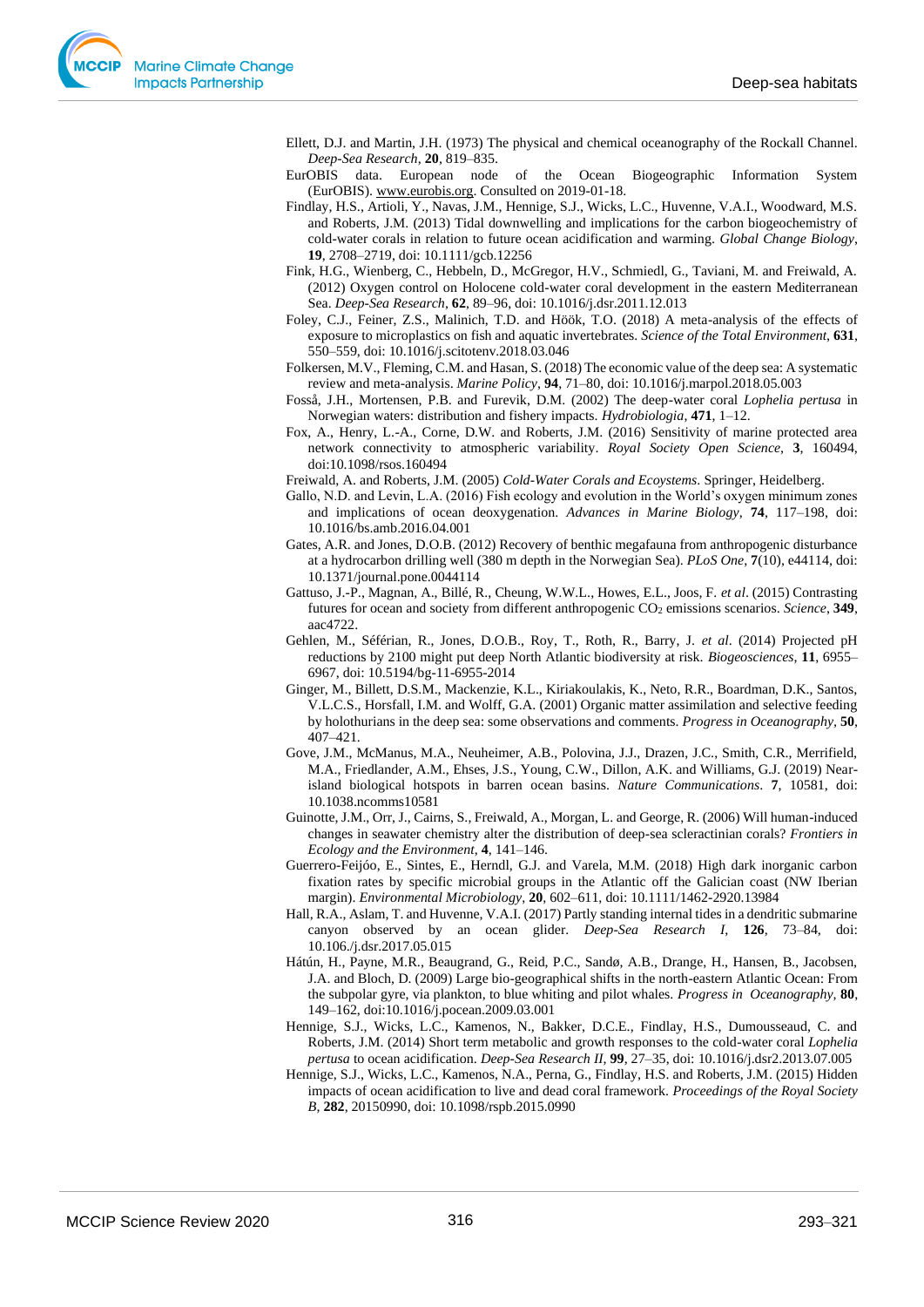Ellett, D.J. and Martin, J.H. (1973) The physical and chemical oceanography of the Rockall Channel. *Deep-Sea Research*, **20**, 819–835.

- EurOBIS data. European node of the Ocean Biogeographic Information System (EurOBIS). [www.eurobis.org.](http://www.eurobis.org/) Consulted on 2019-01-18.
- Findlay, H.S., Artioli, Y., Navas, J.M., Hennige, S.J., Wicks, L.C., Huvenne, V.A.I., Woodward, M.S. and Roberts, J.M. (2013) Tidal downwelling and implications for the carbon biogeochemistry of cold-water corals in relation to future ocean acidification and warming. *Global Change Biology*, **19**, 2708–2719, doi: 10.1111/gcb.12256
- Fink, H.G., Wienberg, C., Hebbeln, D., McGregor, H.V., Schmiedl, G., Taviani, M. and Freiwald, A. (2012) Oxygen control on Holocene cold-water coral development in the eastern Mediterranean Sea. *Deep-Sea Research*, **62**, 89–96, doi: 10.1016/j.dsr.2011.12.013
- Foley, C.J., Feiner, Z.S., Malinich, T.D. and Höök, T.O. (2018) A meta-analysis of the effects of exposure to microplastics on fish and aquatic invertebrates. *Science of the Total Environment*, **631**, 550–559, doi: 10.1016/j.scitotenv.2018.03.046
- Folkersen, M.V., Fleming, C.M. and Hasan, S. (2018) The economic value of the deep sea: A systematic review and meta-analysis. *Marine Policy*, **94**, 71–80, doi: 10.1016/j.marpol.2018.05.003
- Fosså, J.H., Mortensen, P.B. and Furevik, D.M. (2002) The deep-water coral *Lophelia pertusa* in Norwegian waters: distribution and fishery impacts. *Hydrobiologia*, **471**, 1–12.
- Fox, A., Henry, L.-A., Corne, D.W. and Roberts, J.M. (2016) Sensitivity of marine protected area network connectivity to atmospheric variability. *Royal Society Open Science*, **3**, 160494, doi:10.1098/rsos.160494

Freiwald, A. and Roberts, J.M. (2005) *Cold-Water Corals and Ecoystems*. Springer, Heidelberg.

- Gallo, N.D. and Levin, L.A. (2016) Fish ecology and evolution in the World's oxygen minimum zones and implications of ocean deoxygenation. *Advances in Marine Biology*, **74**, 117–198, doi: 10.1016/bs.amb.2016.04.001
- Gates, A.R. and Jones, D.O.B. (2012) Recovery of benthic megafauna from anthropogenic disturbance at a hydrocarbon drilling well (380 m depth in the Norwegian Sea). *PLoS One*, **7**(10), e44114, doi: 10.1371/journal.pone.0044114
- Gattuso, J.-P., Magnan, A., Billé, R., Cheung, W.W.L., Howes, E.L., Joos, F. *et al*. (2015) Contrasting futures for ocean and society from different anthropogenic CO<sup>2</sup> emissions scenarios. *Science*, **349**, aac4722.
- Gehlen, M., Séférian, R., Jones, D.O.B., Roy, T., Roth, R., Barry, J. *et al*. (2014) Projected pH reductions by 2100 might put deep North Atlantic biodiversity at risk. *Biogeosciences*, **11**, 6955– 6967, doi: 10.5194/bg-11-6955-2014
- Ginger, M., Billett, D.S.M., Mackenzie, K.L., Kiriakoulakis, K., Neto, R.R., Boardman, D.K., Santos, V.L.C.S., Horsfall, I.M. and Wolff, G.A. (2001) Organic matter assimilation and selective feeding by holothurians in the deep sea: some observations and comments. *Progress in Oceanography,* **50**, 407–421.
- Gove, J.M., McManus, M.A., Neuheimer, A.B., Polovina, J.J., Drazen, J.C., Smith, C.R., Merrifield, M.A., Friedlander, A.M., Ehses, J.S., Young, C.W., Dillon, A.K. and Williams, G.J. (2019) Nearisland biological hotspots in barren ocean basins. *Nature Communications*. **7**, 10581, doi: 10.1038.ncomms10581
- Guinotte, J.M., Orr, J., Cairns, S., Freiwald, A., Morgan, L. and George, R. (2006) Will human-induced changes in seawater chemistry alter the distribution of deep-sea scleractinian corals? *Frontiers in Ecology and the Environment*, **4**, 141–146.
- Guerrero-Feijóo, E., Sintes, E., Herndl, G.J. and Varela, M.M. (2018) High dark inorganic carbon fixation rates by specific microbial groups in the Atlantic off the Galician coast (NW Iberian margin). *Environmental Microbiology*, **20**, 602–611, doi: 10.1111/1462-2920.13984
- Hall, R.A., Aslam, T. and Huvenne, V.A.I. (2017) Partly standing internal tides in a dendritic submarine canyon observed by an ocean glider. *Deep-Sea Research I*, **126**, 73–84, doi: 10.106./j.dsr.2017.05.015
- Hátún, H., Payne, M.R., Beaugrand, G., Reid, P.C., Sandø, A.B., Drange, H., Hansen, B., Jacobsen, J.A. and Bloch, D. (2009) Large bio-geographical shifts in the north-eastern Atlantic Ocean: From the subpolar gyre, via plankton, to blue whiting and pilot whales. *Progress in Oceanography,* **80**, 149–162, doi:10.1016/j.pocean.2009.03.001
- Hennige, S.J., Wicks, L.C., Kamenos, N., Bakker, D.C.E., Findlay, H.S., Dumousseaud, C. and Roberts, J.M. (2014) Short term metabolic and growth responses to the cold-water coral *Lophelia pertusa* to ocean acidification. *Deep-Sea Research II*, **99**, 27–35, doi: 10.1016/j.dsr2.2013.07.005
- Hennige, S.J., Wicks, L.C., Kamenos, N.A., Perna, G., Findlay, H.S. and Roberts, J.M. (2015) Hidden impacts of ocean acidification to live and dead coral framework. *Proceedings of the Royal Society B*, **282**, 20150990, doi: 10.1098/rspb.2015.0990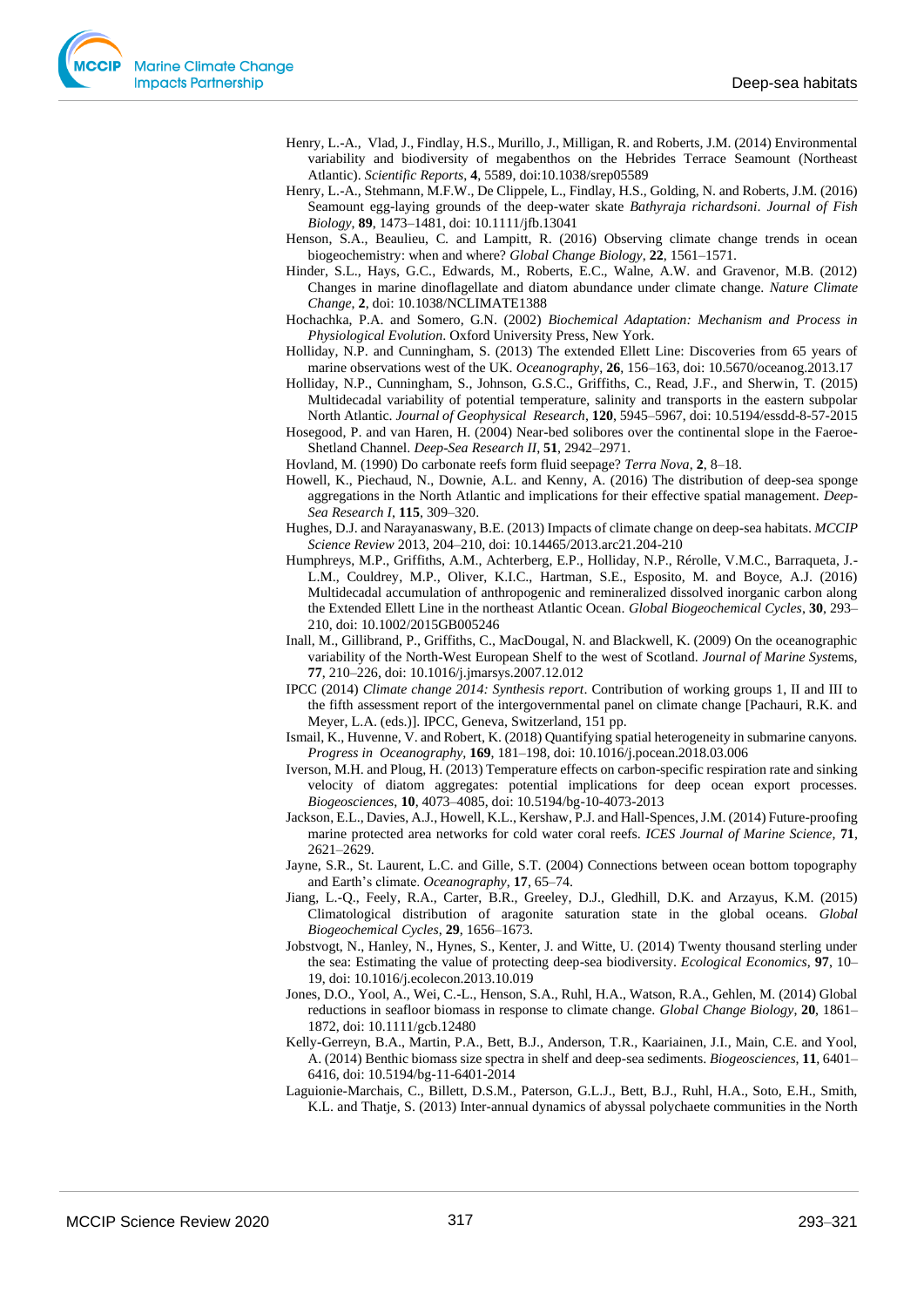- Henry, L.-A., Vlad, J., Findlay, H.S., Murillo, J., Milligan, R. and Roberts, J.M. (2014) Environmental variability and biodiversity of megabenthos on the Hebrides Terrace Seamount (Northeast Atlantic). *Scientific Reports*, **4**, 5589, doi:10.1038/srep05589
- Henry, L.-A., Stehmann, M.F.W., De Clippele, L., Findlay, H.S., Golding, N. and Roberts, J.M. (2016) Seamount egg-laying grounds of the deep-water skate *Bathyraja richardsoni*. *Journal of Fish Biology*, **89**, 1473–1481, doi: 10.1111/jfb.13041
- Henson, S.A., Beaulieu, C. and Lampitt, R. (2016) Observing climate change trends in ocean biogeochemistry: when and where? *Global Change Biology*, **22**, 1561–1571.
- Hinder, S.L., Hays, G.C., Edwards, M., Roberts, E.C., Walne, A.W. and Gravenor, M.B. (2012) Changes in marine dinoflagellate and diatom abundance under climate change. *Nature Climate Change*, **2**, doi: 10.1038/NCLIMATE1388
- Hochachka, P.A. and Somero, G.N. (2002) *Biochemical Adaptation: Mechanism and Process in Physiological Evolution*. Oxford University Press, New York.
- Holliday, N.P. and Cunningham, S. (2013) The extended Ellett Line: Discoveries from 65 years of marine observations west of the UK. *Oceanography*, **26**, 156–163, doi: 10.5670/oceanog.2013.17
- Holliday, N.P., Cunningham, S., Johnson, G.S.C., Griffiths, C., Read, J.F., and Sherwin, T. (2015) Multidecadal variability of potential temperature, salinity and transports in the eastern subpolar North Atlantic. *Journal of Geophysical Research*, **120**, 5945–5967, doi: 10.5194/essdd-8-57-2015
- Hosegood, P. and van Haren, H. (2004) Near-bed solibores over the continental slope in the Faeroe-Shetland Channel. *Deep-Sea Research II*, **51**, 2942–2971.
- Hovland, M. (1990) Do carbonate reefs form fluid seepage? *Terra Nova*, **2**, 8–18.
- Howell, K., Piechaud, N., Downie, A.L. and Kenny, A. (2016) The distribution of deep-sea sponge aggregations in the North Atlantic and implications for their effective spatial management. *Deep-Sea Research I*, **115**, 309–320.
- Hughes, D.J. and Narayanaswany, B.E. (2013) Impacts of climate change on deep-sea habitats. *MCCIP Science Review* 2013, 204–210, doi: 10.14465/2013.arc21.204-210
- Humphreys, M.P., Griffiths, A.M., Achterberg, E.P., Holliday, N.P., Rérolle, V.M.C., Barraqueta, J.- L.M., Couldrey, M.P., Oliver, K.I.C., Hartman, S.E., Esposito, M. and Boyce, A.J. (2016) Multidecadal accumulation of anthropogenic and remineralized dissolved inorganic carbon along the Extended Ellett Line in the northeast Atlantic Ocean. *Global Biogeochemical Cycles*, **30**, 293– 210, doi: 10.1002/2015GB005246
- Inall, M., Gillibrand, P., Griffiths, C., MacDougal, N. and Blackwell, K. (2009) On the oceanographic variability of the North-West European Shelf to the west of Scotland. *Journal of Marine Syst*ems, **77**, 210–226, doi: 10.1016/j.jmarsys.2007.12.012
- IPCC (2014) *Climate change 2014: Synthesis report*. Contribution of working groups 1, II and III to the fifth assessment report of the intergovernmental panel on climate change [Pachauri, R.K. and Meyer, L.A. (eds.)]. IPCC, Geneva, Switzerland, 151 pp.
- Ismail, K., Huvenne, V. and Robert, K. (2018) Quantifying spatial heterogeneity in submarine canyons. *Progress in Oceanography,* **169**, 181–198, doi: 10.1016/j.pocean.2018.03.006
- Iverson, M.H. and Ploug, H. (2013) Temperature effects on carbon-specific respiration rate and sinking velocity of diatom aggregates: potential implications for deep ocean export processes. *Biogeosciences*, **10**, 4073–4085, doi: 10.5194/bg-10-4073-2013
- Jackson, E.L., Davies, A.J., Howell, K.L., Kershaw, P.J. and Hall-Spences, J.M. (2014) Future-proofing marine protected area networks for cold water coral reefs. *ICES Journal of Marine Science*, **71**, 2621–2629.
- Jayne, S.R., St. Laurent, L.C. and Gille, S.T. (2004) Connections between ocean bottom topography and Earth's climate. *Oceanography*, **17**, 65–74.
- Jiang, L.-Q., Feely, R.A., Carter, B.R., Greeley, D.J., Gledhill, D.K. and Arzayus, K.M. (2015) Climatological distribution of aragonite saturation state in the global oceans. *Global Biogeochemical Cycles*, **29**, 1656–1673.
- Jobstvogt, N., Hanley, N., Hynes, S., Kenter, J. and Witte, U. (2014) Twenty thousand sterling under the sea: Estimating the value of protecting deep-sea biodiversity. *Ecological Economics*, **97**, 10– 19, doi: 10.1016/j.ecolecon.2013.10.019
- Jones, D.O., Yool, A., Wei, C.-L., Henson, S.A., Ruhl, H.A., Watson, R.A., Gehlen, M. (2014) Global reductions in seafloor biomass in response to climate change. *Global Change Biology*, **20**, 1861– 1872, doi: 10.1111/gcb.12480
- Kelly-Gerreyn, B.A., Martin, P.A., Bett, B.J., Anderson, T.R., Kaariainen, J.I., Main, C.E. and Yool, A. (2014) Benthic biomass size spectra in shelf and deep-sea sediments. *Biogeosciences*, **11**, 6401– 6416, doi: 10.5194/bg-11-6401-2014
- Laguionie-Marchais, C., Billett, D.S.M., Paterson, G.L.J., Bett, B.J., Ruhl, H.A., Soto, E.H., Smith, K.L. and Thatje, S. (2013) Inter-annual dynamics of abyssal polychaete communities in the North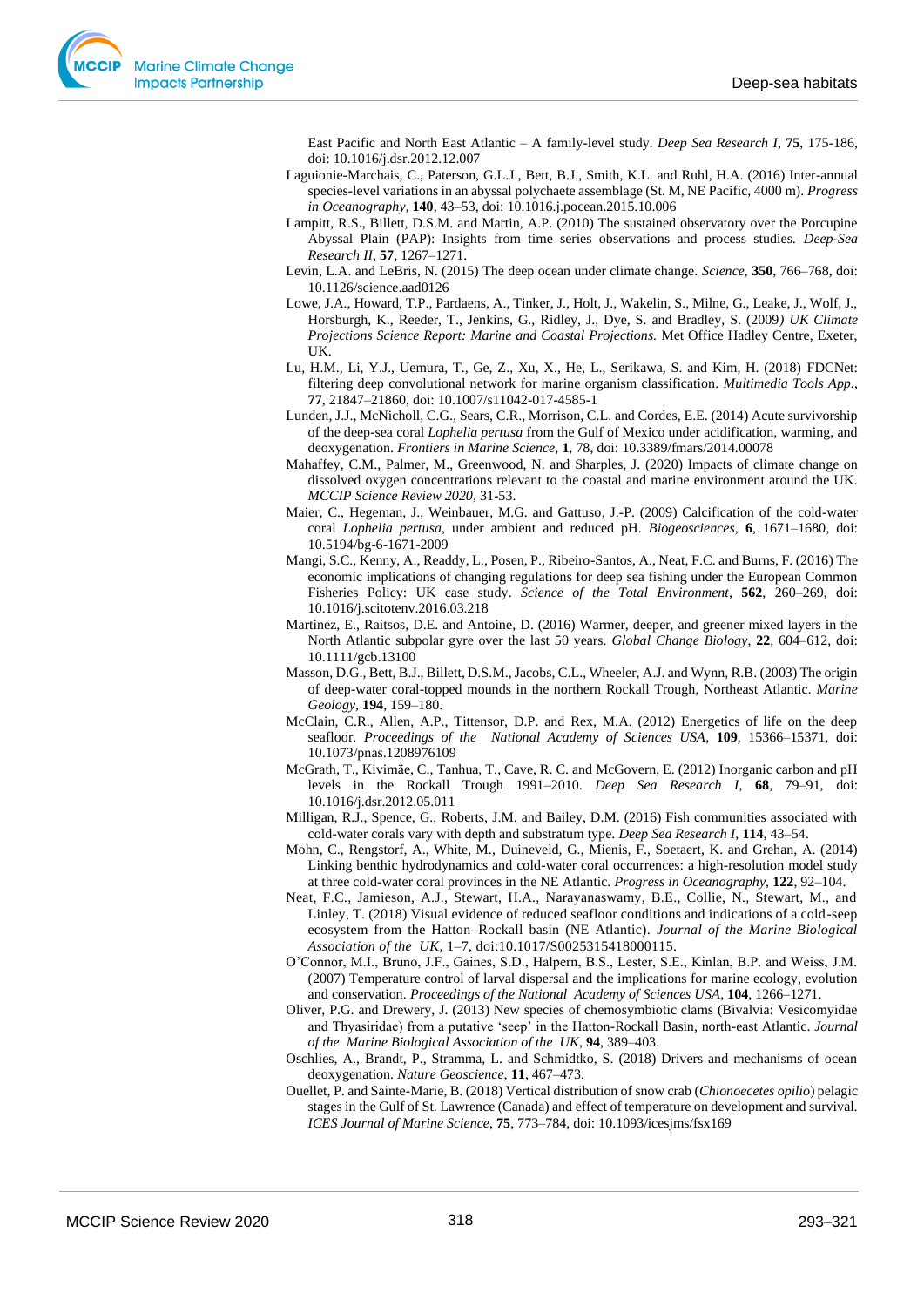East Pacific and North East Atlantic – A family-level study*. Deep Sea Research I,* **75**, 175-186, doi: 10.1016/j.dsr.2012.12.007

- Laguionie-Marchais, C., Paterson, G.L.J., Bett, B.J., Smith, K.L. and Ruhl, H.A. (2016) Inter-annual species-level variations in an abyssal polychaete assemblage (St. M, NE Pacific, 4000 m). *Progress in Oceanography,* **140**, 43–53, doi: 10.1016.j.pocean.2015.10.006
- Lampitt, R.S., Billett, D.S.M. and Martin, A.P. (2010) The sustained observatory over the Porcupine Abyssal Plain (PAP): Insights from time series observations and process studies. *Deep-Sea Research II*, **57**, 1267–1271.
- Levin, L.A. and LeBris, N. (2015) The deep ocean under climate change. *Science*, **350**, 766–768, doi: 10.1126/science.aad0126
- Lowe, J.A., Howard, T.P., Pardaens, A., Tinker, J., Holt, J., Wakelin, S., Milne, G., Leake, J., Wolf, J., Horsburgh, K., Reeder, T., Jenkins, G., Ridley, J., Dye, S. and Bradley, S. (2009*) UK Climate Projections Science Report: Marine and Coastal Projections.* Met Office Hadley Centre, Exeter, UK.
- Lu, H.M., Li, Y.J., Uemura, T., Ge, Z., Xu, X., He, L., Serikawa, S. and Kim, H. (2018) FDCNet: filtering deep convolutional network for marine organism classification. *Multimedia Tools App.*, **77**, 21847–21860, doi: 10.1007/s11042-017-4585-1
- Lunden, J.J., McNicholl, C.G., Sears, C.R., Morrison, C.L. and Cordes, E.E. (2014) Acute survivorship of the deep-sea coral *Lophelia pertusa* from the Gulf of Mexico under acidification, warming, and deoxygenation. *Frontiers in Marine Science*, **1**, 78, doi: 10.3389/fmars/2014.00078
- Mahaffey, C.M., Palmer, M., Greenwood, N. and Sharples, J. (2020) Impacts of climate change on dissolved oxygen concentrations relevant to the coastal and marine environment around the UK. *MCCIP Science Review 2020,* 31-53.
- Maier, C., Hegeman, J., Weinbauer, M.G. and Gattuso, J.-P. (2009) Calcification of the cold-water coral *Lophelia pertusa*, under ambient and reduced pH. *Biogeosciences*, **6**, 1671–1680, doi: 10.5194/bg-6-1671-2009
- Mangi, S.C., Kenny, A., Readdy, L., Posen, P., Ribeiro-Santos, A., Neat, F.C. and Burns, F. (2016) The economic implications of changing regulations for deep sea fishing under the European Common Fisheries Policy: UK case study. *Science of the Total Environment*, **562**, 260–269, doi: 10.1016/j.scitotenv.2016.03.218
- Martinez, E., Raitsos, D.E. and Antoine, D. (2016) Warmer, deeper, and greener mixed layers in the North Atlantic subpolar gyre over the last 50 years. *Global Change Biology*, **22**, 604–612, doi: 10.1111/gcb.13100
- Masson, D.G., Bett, B.J., Billett, D.S.M., Jacobs, C.L., Wheeler, A.J. and Wynn, R.B. (2003) The origin of deep-water coral-topped mounds in the northern Rockall Trough, Northeast Atlantic*. Marine Geology*, **194**, 159–180.
- McClain, C.R., Allen, A.P., Tittensor, D.P. and Rex, M.A. (2012) Energetics of life on the deep seafloor. *Proceedings of the National Academy of Sciences USA*, **109**, 15366–15371, doi: 10.1073/pnas.1208976109
- McGrath, T., Kivimäe, C., Tanhua, T., Cave, R. C. and McGovern, E. (2012) Inorganic carbon and pH levels in the Rockall Trough 1991–2010. *Deep Sea Research I*, **68**, 79–91, doi: 10.1016/j.dsr.2012.05.011
- Milligan, R.J., Spence, G., Roberts, J.M. and Bailey, D.M. (2016) Fish communities associated with cold-water corals vary with depth and substratum type. *Deep Sea Research I*, **114**, 43–54.
- Mohn, C., Rengstorf, A., White, M., Duineveld, G., Mienis, F., Soetaert, K. and Grehan, A. (2014) Linking benthic hydrodynamics and cold-water coral occurrences: a high-resolution model study at three cold-water coral provinces in the NE Atlantic. *Progress in Oceanography,* **122**, 92–104.
- Neat, F.C., Jamieson, A.J., Stewart, H.A., Narayanaswamy, B.E., Collie, N., Stewart, M., and Linley, T. (2018) Visual evidence of reduced seafloor conditions and indications of a cold-seep ecosystem from the Hatton–Rockall basin (NE Atlantic). *Journal of the Marine Biological Association of the UK*, 1–7, doi:10.1017/S0025315418000115.
- O'Connor, M.I., Bruno, J.F., Gaines, S.D., Halpern, B.S., Lester, S.E., Kinlan, B.P. and Weiss, J.M. (2007) Temperature control of larval dispersal and the implications for marine ecology, evolution and conservation. *Proceedings of the National Academy of Sciences USA*, **104**, 1266–1271.
- Oliver, P.G. and Drewery, J. (2013) New species of chemosymbiotic clams (Bivalvia: Vesicomyidae and Thyasiridae) from a putative 'seep' in the Hatton-Rockall Basin, north-east Atlantic. *Journal of the Marine Biological Association of the UK*, **94**, 389–403.
- Oschlies, A., Brandt, P., Stramma, L. and Schmidtko, S. (2018) Drivers and mechanisms of ocean deoxygenation. *Nature Geoscience*, **11**, 467–473.
- Ouellet, P. and Sainte-Marie, B. (2018) Vertical distribution of snow crab (*Chionoecetes opilio*) pelagic stages in the Gulf of St. Lawrence (Canada) and effect of temperature on development and survival. *ICES Journal of Marine Science*, **75**, 773–784, doi: 10.1093/icesjms/fsx169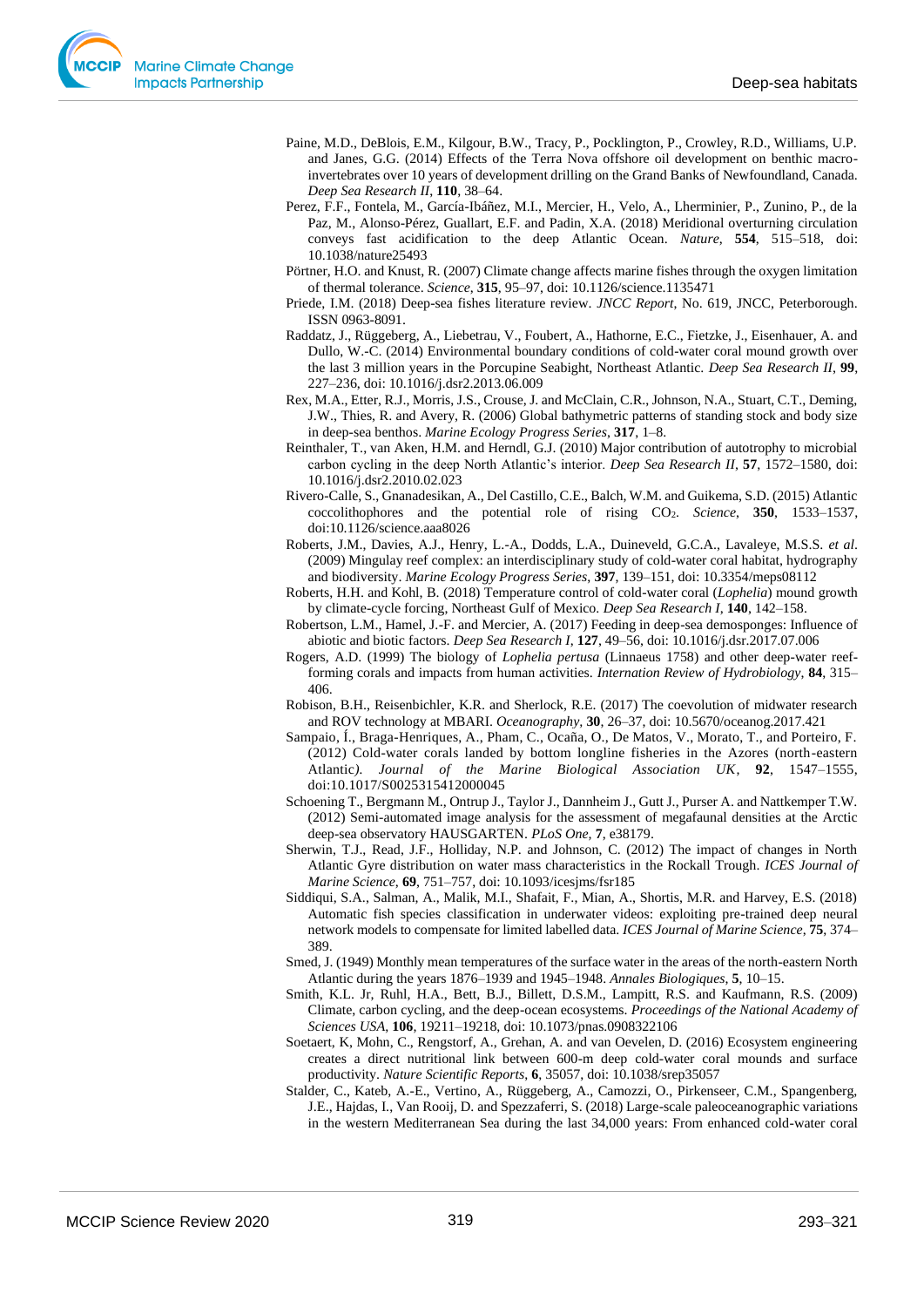- Paine, M.D., DeBlois, E.M., Kilgour, B.W., Tracy, P., Pocklington, P., Crowley, R.D., Williams, U.P. and Janes, G.G. (2014) Effects of the Terra Nova offshore oil development on benthic macroinvertebrates over 10 years of development drilling on the Grand Banks of Newfoundland, Canada. *Deep Sea Research II*, **110**, 38–64.
- Perez, F.F., Fontela, M., García-Ibáñez, M.I., Mercier, H., Velo, A., Lherminier, P., Zunino, P., de la Paz, M., Alonso-Pérez, Guallart, E.F. and Padin, X.A. (2018) Meridional overturning circulation conveys fast acidification to the deep Atlantic Ocean. *Nature*, **554**, 515–518, doi: 10.1038/nature25493
- Pörtner, H.O. and Knust, R. (2007) Climate change affects marine fishes through the oxygen limitation of thermal tolerance. *Science*, **315**, 95–97, doi: 10.1126/science.1135471
- Priede, I.M. (2018) Deep-sea fishes literature review. *JNCC Report*, No. 619, JNCC, Peterborough. ISSN 0963-8091.
- Raddatz, J., Rüggeberg, A., Liebetrau, V., Foubert, A., Hathorne, E.C., Fietzke, J., Eisenhauer, A. and Dullo, W.-C. (2014) Environmental boundary conditions of cold-water coral mound growth over the last 3 million years in the Porcupine Seabight, Northeast Atlantic. *Deep Sea Research II*, **99**, 227–236, doi: 10.1016/j.dsr2.2013.06.009
- Rex, M.A., Etter, R.J., Morris, J.S., Crouse, J. and McClain, C.R., Johnson, N.A., Stuart, C.T., Deming, J.W., Thies, R. and Avery, R. (2006) Global bathymetric patterns of standing stock and body size in deep-sea benthos. *Marine Ecology Progress Series*, **317**, 1–8.
- Reinthaler, T., van Aken, H.M. and Herndl, G.J. (2010) Major contribution of autotrophy to microbial carbon cycling in the deep North Atlantic's interior. *Deep Sea Research II*, **57**, 1572–1580, doi: 10.1016/j.dsr2.2010.02.023
- Rivero-Calle, S., Gnanadesikan, A., Del Castillo, C.E., Balch, W.M. and Guikema, S.D. (2015) Atlantic coccolithophores and the potential role of rising CO2. *Science*, **350**, 1533–1537, doi:10.1126/science.aaa8026
- Roberts, J.M., Davies, A.J., Henry, L.-A., Dodds, L.A., Duineveld, G.C.A., Lavaleye, M.S.S. *et al*. (2009) Mingulay reef complex: an interdisciplinary study of cold-water coral habitat, hydrography and biodiversity. *Marine Ecology Progress Series*, **397**, 139–151, doi: 10.3354/meps08112
- Roberts, H.H. and Kohl, B. (2018) Temperature control of cold-water coral (*Lophelia*) mound growth by climate-cycle forcing, Northeast Gulf of Mexico. *Deep Sea Research I*, **140**, 142–158.
- Robertson, L.M., Hamel, J.-F. and Mercier, A. (2017) Feeding in deep-sea demosponges: Influence of abiotic and biotic factors. *Deep Sea Research I*, **127**, 49–56, doi: 10.1016/j.dsr.2017.07.006
- Rogers, A.D. (1999) The biology of *Lophelia pertusa* (Linnaeus 1758) and other deep-water reefforming corals and impacts from human activities. *Internation Review of Hydrobiology*, **84**, 315– 406.
- Robison, B.H., Reisenbichler, K.R. and Sherlock, R.E. (2017) The coevolution of midwater research and ROV technology at MBARI. *Oceanography,* **30**, 26–37, doi: 10.5670/oceanog.2017.421
- Sampaio, Í., Braga-Henriques, A., Pham, C., Ocaña, O., De Matos, V., Morato, T., and Porteiro, F. (2012) Cold-water corals landed by bottom longline fisheries in the Azores (north-eastern Atlantic*). Journal of the Marine Biological Association UK*, **92**, 1547–1555, doi:10.1017/S0025315412000045
- Schoening T., Bergmann M., Ontrup J., Taylor J., Dannheim J., Gutt J., Purser A. and Nattkemper T.W. (2012) Semi-automated image analysis for the assessment of megafaunal densities at the Arctic deep-sea observatory HAUSGARTEN. *PLoS One,* **7**, e38179.
- Sherwin, T.J., Read, J.F., Holliday, N.P. and Johnson, C. (2012) The impact of changes in North Atlantic Gyre distribution on water mass characteristics in the Rockall Trough. *ICES Journal of Marine Science*, **69**, 751–757, doi: 10.1093/icesjms/fsr185
- Siddiqui, S.A., Salman, A., Malik, M.I., Shafait, F., Mian, A., Shortis, M.R. and Harvey, E.S. (2018) Automatic fish species classification in underwater videos: exploiting pre-trained deep neural network models to compensate for limited labelled data. *ICES Journal of Marine Science*, **75**, 374– 389.
- Smed, J. (1949) Monthly mean temperatures of the surface water in the areas of the north-eastern North Atlantic during the years 1876–1939 and 1945–1948. *Annales Biologiques*, **5**, 10–15.
- Smith, K.L. Jr, Ruhl, H.A., Bett, B.J., Billett, D.S.M., Lampitt, R.S. and Kaufmann, R.S. (2009) Climate, carbon cycling, and the deep-ocean ecosystems. *Proceedings of the National Academy of Sciences USA*, **106**, 19211–19218, doi: 10.1073/pnas.0908322106
- Soetaert, K, Mohn, C., Rengstorf, A., Grehan, A. and van Oevelen, D. (2016) Ecosystem engineering creates a direct nutritional link between 600-m deep cold-water coral mounds and surface productivity. *Nature Scientific Reports*, **6**, 35057, doi: 10.1038/srep35057
- Stalder, C., Kateb, A.-E., Vertino, A., Rüggeberg, A., Camozzi, O., Pirkenseer, C.M., Spangenberg, J.E., Hajdas, I., Van Rooij, D. and Spezzaferri, S. (2018) Large-scale paleoceanographic variations in the western Mediterranean Sea during the last 34,000 years: From enhanced cold-water coral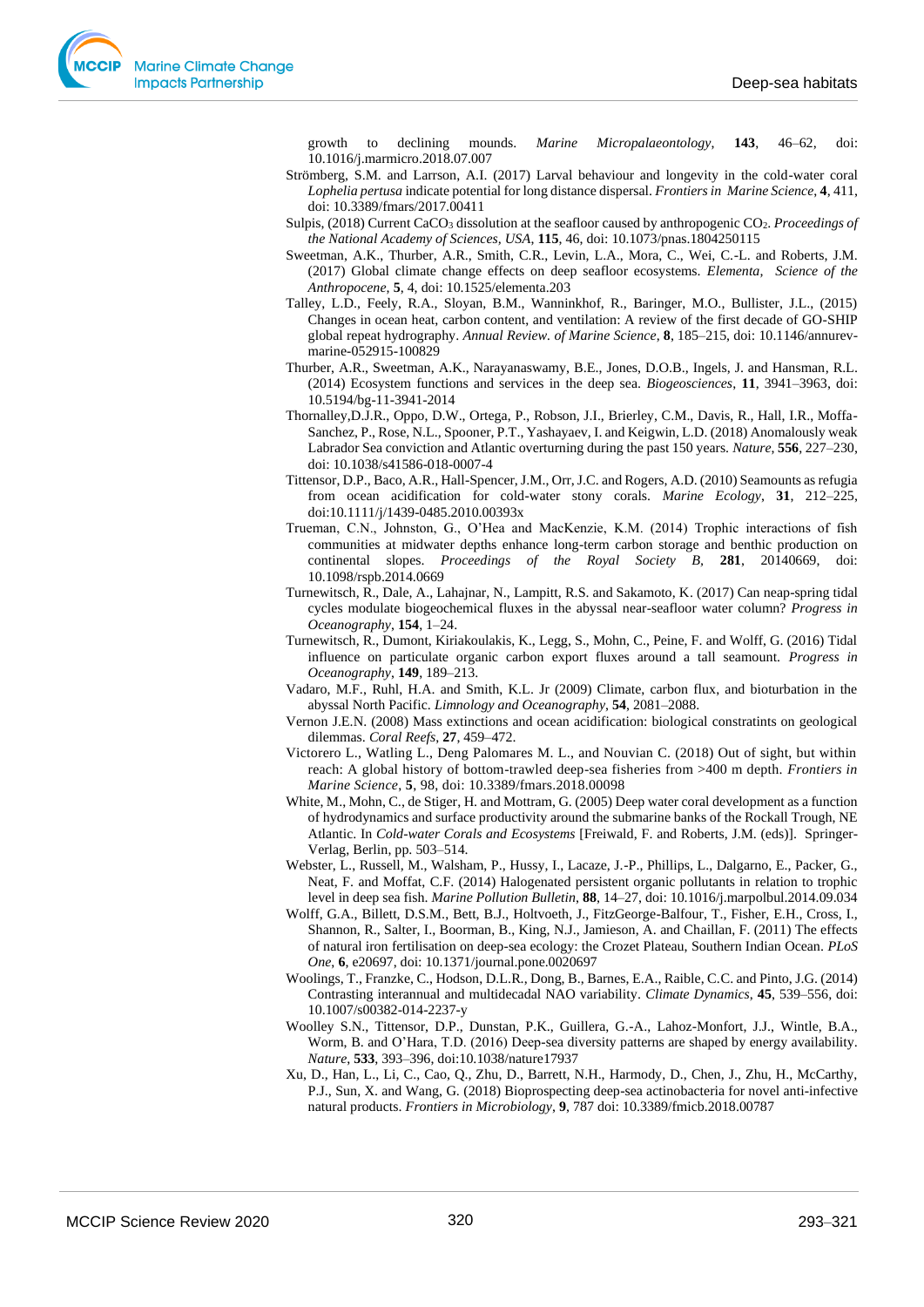growth to declining mounds. *Marine Micropalaeontology*, **143**, 46–62, doi: 10.1016/j.marmicro.2018.07.007

- Strömberg, S.M. and Larrson, A.I. (2017) Larval behaviour and longevity in the cold-water coral *Lophelia pertusa* indicate potential for long distance dispersal. *Frontiers in Marine Science*, **4**, 411, doi: 10.3389/fmars/2017.00411
- Sulpis, (2018) Current CaCO<sub>3</sub> dissolution at the seafloor caused by anthropogenic CO<sub>2</sub>. *Proceedings of the National Academy of Sciences, USA*, **115**, 46, doi: 10.1073/pnas.1804250115
- Sweetman, A.K., Thurber, A.R., Smith, C.R., Levin, L.A., Mora, C., Wei, C.-L. and Roberts, J.M. (2017) Global climate change effects on deep seafloor ecosystems. *Elementa, Science of the Anthropocene*, **5**, 4, doi: 10.1525/elementa.203
- Talley, L.D., Feely, R.A., Sloyan, B.M., Wanninkhof, R., Baringer, M.O., Bullister, J.L., (2015) Changes in ocean heat, carbon content, and ventilation: A review of the first decade of GO-SHIP global repeat hydrography. *Annual Review. of Marine Science*, **8**, 185–215, doi: 10.1146/annurevmarine-052915-100829
- Thurber, A.R., Sweetman, A.K., Narayanaswamy, B.E., Jones, D.O.B., Ingels, J. and Hansman, R.L. (2014) Ecosystem functions and services in the deep sea. *Biogeosciences*, **11**, 3941–3963, doi: 10.5194/bg-11-3941-2014
- Thornalley,D.J.R., Oppo, D.W., Ortega, P., Robson, J.I., Brierley, C.M., Davis, R., Hall, I.R., Moffa-Sanchez, P., Rose, N.L., Spooner, P.T., Yashayaev, I. and Keigwin, L.D. (2018) Anomalously weak Labrador Sea conviction and Atlantic overturning during the past 150 years. *Nature*, **556**, 227–230, doi: 10.1038/s41586-018-0007-4
- Tittensor, D.P., Baco, A.R., Hall-Spencer, J.M., Orr, J.C. and Rogers, A.D. (2010) Seamounts as refugia from ocean acidification for cold-water stony corals. *Marine Ecology*, **31**, 212–225, doi:10.1111/j/1439-0485.2010.00393x
- Trueman, C.N., Johnston, G., O'Hea and MacKenzie, K.M. (2014) Trophic interactions of fish communities at midwater depths enhance long-term carbon storage and benthic production on continental slopes. *Proceedings of the Royal Society B,* **281**, 20140669, doi: 10.1098/rspb.2014.0669
- Turnewitsch, R., Dale, A., Lahajnar, N., Lampitt, R.S. and Sakamoto, K. (2017) Can neap-spring tidal cycles modulate biogeochemical fluxes in the abyssal near-seafloor water column? *Progress in Oceanography*, **154**, 1–24.
- Turnewitsch, R., Dumont, Kiriakoulakis, K., Legg, S., Mohn, C., Peine, F. and Wolff, G. (2016) Tidal influence on particulate organic carbon export fluxes around a tall seamount. *Progress in Oceanography*, **149**, 189–213.
- Vadaro, M.F., Ruhl, H.A. and Smith, K.L. Jr (2009) Climate, carbon flux, and bioturbation in the abyssal North Pacific. *Limnology and Oceanography*, **54**, 2081–2088.
- Vernon J.E.N. (2008) Mass extinctions and ocean acidification: biological constratints on geological dilemmas. *Coral Reefs*, **27**, 459–472.
- Victorero L., Watling L., Deng Palomares M. L., and Nouvian C. (2018) Out of sight, but within reach: A global history of bottom-trawled deep-sea fisheries from >400 m depth. *Frontiers in Marine Science*, **5**, 98, doi: 10.3389/fmars.2018.00098
- White, M., Mohn, C., de Stiger, H. and Mottram, G. (2005) Deep water coral development as a function of hydrodynamics and surface productivity around the submarine banks of the Rockall Trough, NE Atlantic. In *Cold-water Corals and Ecosystems* [Freiwald, F. and Roberts, J.M. (eds)]. Springer-Verlag, Berlin, pp. 503–514.
- Webster, L., Russell, M., Walsham, P., Hussy, I., Lacaze, J.-P., Phillips, L., Dalgarno, E., Packer, G., Neat, F. and Moffat, C.F. (2014) Halogenated persistent organic pollutants in relation to trophic level in deep sea fish. *Marine Pollution Bulletin*, **88**, 14–27, doi: 10.1016/j.marpolbul.2014.09.034
- Wolff, G.A., Billett, D.S.M., Bett, B.J., Holtvoeth, J., FitzGeorge-Balfour, T., Fisher, E.H., Cross, I., Shannon, R., Salter, I., Boorman, B., King, N.J., Jamieson, A. and Chaillan, F. (2011) The effects of natural iron fertilisation on deep-sea ecology: the Crozet Plateau, Southern Indian Ocean. *PLoS One*, **6**, e20697, doi: 10.1371/journal.pone.0020697
- Woolings, T., Franzke, C., Hodson, D.L.R., Dong, B., Barnes, E.A., Raible, C.C. and Pinto, J.G. (2014) Contrasting interannual and multidecadal NAO variability. *Climate Dynamics*, **45**, 539–556, doi: 10.1007/s00382-014-2237-y
- Woolley S.N., Tittensor, D.P., Dunstan, P.K., Guillera, G.-A., Lahoz-Monfort, J.J., Wintle, B.A., Worm, B. and O'Hara, T.D. (2016) Deep-sea diversity patterns are shaped by energy availability. *Nature*, **533**, 393–396, doi:10.1038/nature17937
- Xu, D., Han, L., Li, C., Cao, Q., Zhu, D., Barrett, N.H., Harmody, D., Chen, J., Zhu, H., McCarthy, P.J., Sun, X. and Wang, G. (2018) Bioprospecting deep-sea actinobacteria for novel anti-infective natural products. *Frontiers in Microbiology*, **9**, 787 doi: 10.3389/fmicb.2018.00787